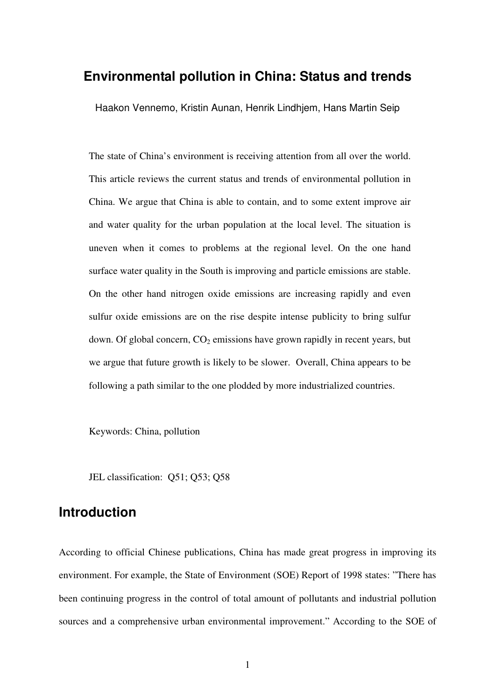# **Environmental pollution in China: Status and trends**

Haakon Vennemo, Kristin Aunan, Henrik Lindhjem, Hans Martin Seip

The state of China's environment is receiving attention from all over the world. This article reviews the current status and trends of environmental pollution in China. We argue that China is able to contain, and to some extent improve air and water quality for the urban population at the local level. The situation is uneven when it comes to problems at the regional level. On the one hand surface water quality in the South is improving and particle emissions are stable. On the other hand nitrogen oxide emissions are increasing rapidly and even sulfur oxide emissions are on the rise despite intense publicity to bring sulfur down. Of global concern,  $CO<sub>2</sub>$  emissions have grown rapidly in recent years, but we argue that future growth is likely to be slower. Overall, China appears to be following a path similar to the one plodded by more industrialized countries.

Keywords: China, pollution

JEL classification: Q51; Q53; Q58

# **Introduction**

According to official Chinese publications, China has made great progress in improving its environment. For example, the State of Environment (SOE) Report of 1998 states: "There has been continuing progress in the control of total amount of pollutants and industrial pollution sources and a comprehensive urban environmental improvement." According to the SOE of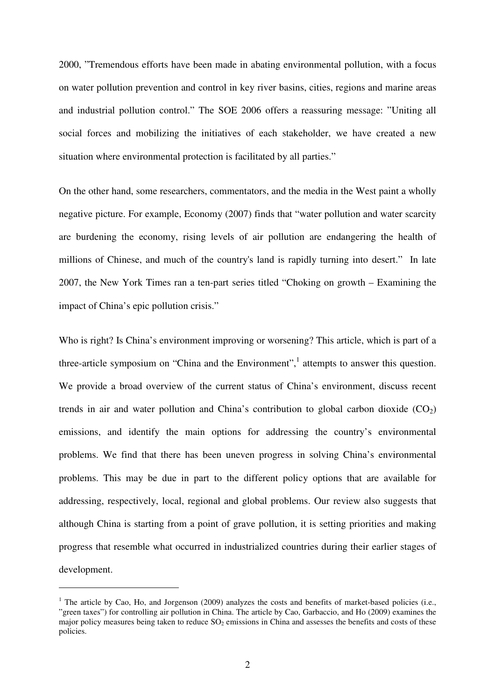2000, "Tremendous efforts have been made in abating environmental pollution, with a focus on water pollution prevention and control in key river basins, cities, regions and marine areas and industrial pollution control." The SOE 2006 offers a reassuring message: "Uniting all social forces and mobilizing the initiatives of each stakeholder, we have created a new situation where environmental protection is facilitated by all parties."

On the other hand, some researchers, commentators, and the media in the West paint a wholly negative picture. For example, Economy (2007) finds that "water pollution and water scarcity are burdening the economy, rising levels of air pollution are endangering the health of millions of Chinese, and much of the country's land is rapidly turning into desert." In late 2007, the New York Times ran a ten-part series titled "Choking on growth – Examining the impact of China's epic pollution crisis."

Who is right? Is China's environment improving or worsening? This article, which is part of a three-article symposium on "China and the Environment",<sup>1</sup> attempts to answer this question. We provide a broad overview of the current status of China's environment, discuss recent trends in air and water pollution and China's contribution to global carbon dioxide  $(CO<sub>2</sub>)$ emissions, and identify the main options for addressing the country's environmental problems. We find that there has been uneven progress in solving China's environmental problems. This may be due in part to the different policy options that are available for addressing, respectively, local, regional and global problems. Our review also suggests that although China is starting from a point of grave pollution, it is setting priorities and making progress that resemble what occurred in industrialized countries during their earlier stages of development.

 $\overline{a}$ 

 $1$  The article by Cao, Ho, and Jorgenson (2009) analyzes the costs and benefits of market-based policies (i.e., "green taxes") for controlling air pollution in China. The article by Cao, Garbaccio, and Ho (2009) examines the major policy measures being taken to reduce  $SO_2$  emissions in China and assesses the benefits and costs of these policies.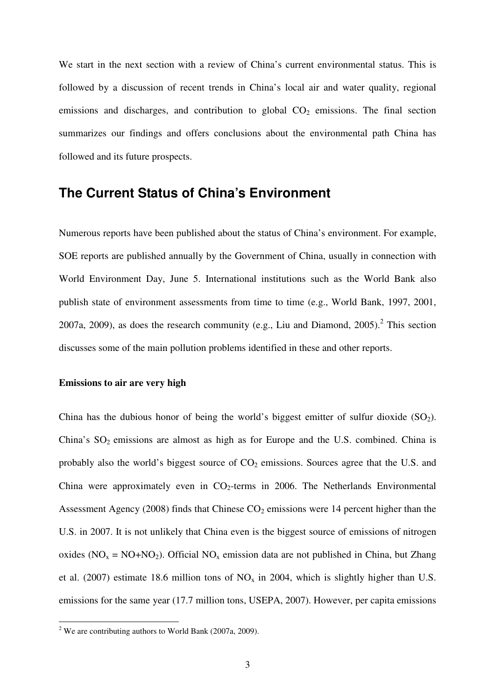We start in the next section with a review of China's current environmental status. This is followed by a discussion of recent trends in China's local air and water quality, regional emissions and discharges, and contribution to global  $CO<sub>2</sub>$  emissions. The final section summarizes our findings and offers conclusions about the environmental path China has followed and its future prospects.

# **The Current Status of China's Environment**

Numerous reports have been published about the status of China's environment. For example, SOE reports are published annually by the Government of China, usually in connection with World Environment Day, June 5. International institutions such as the World Bank also publish state of environment assessments from time to time (e.g., World Bank, 1997, 2001, 2007a, 2009), as does the research community (e.g., Liu and Diamond,  $2005$ ).<sup>2</sup> This section discusses some of the main pollution problems identified in these and other reports.

### **Emissions to air are very high**

China has the dubious honor of being the world's biggest emitter of sulfur dioxide  $(SO<sub>2</sub>)$ . China's  $SO_2$  emissions are almost as high as for Europe and the U.S. combined. China is probably also the world's biggest source of  $CO<sub>2</sub>$  emissions. Sources agree that the U.S. and China were approximately even in  $CO<sub>2</sub>$ -terms in 2006. The Netherlands Environmental Assessment Agency (2008) finds that Chinese  $CO<sub>2</sub>$  emissions were 14 percent higher than the U.S. in 2007. It is not unlikely that China even is the biggest source of emissions of nitrogen oxides ( $NO_x = NO + NO_2$ ). Official  $NO_x$  emission data are not published in China, but Zhang et al. (2007) estimate 18.6 million tons of  $NO<sub>x</sub>$  in 2004, which is slightly higher than U.S. emissions for the same year (17.7 million tons, USEPA, 2007). However, per capita emissions

<sup>&</sup>lt;sup>2</sup> We are contributing authors to World Bank (2007a, 2009).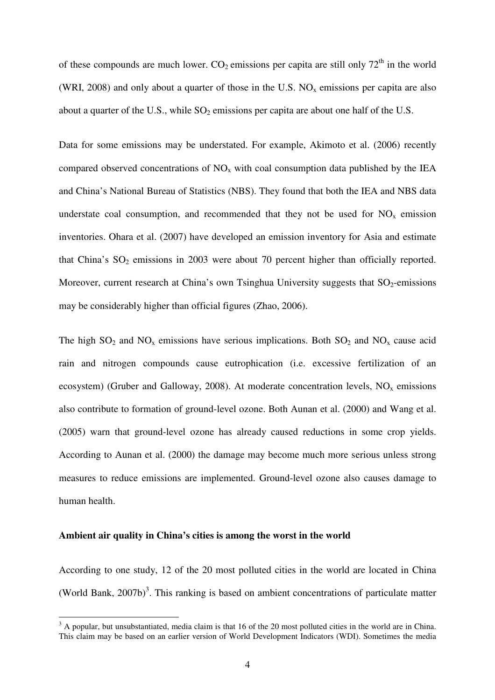of these compounds are much lower.  $CO_2$  emissions per capita are still only  $72<sup>th</sup>$  in the world (WRI, 2008) and only about a quarter of those in the U.S.  $NO<sub>x</sub>$  emissions per capita are also about a quarter of the U.S., while  $SO_2$  emissions per capita are about one half of the U.S.

Data for some emissions may be understated. For example, Akimoto et al. (2006) recently compared observed concentrations of  $NO<sub>x</sub>$  with coal consumption data published by the IEA and China's National Bureau of Statistics (NBS). They found that both the IEA and NBS data understate coal consumption, and recommended that they not be used for  $NO<sub>x</sub>$  emission inventories. Ohara et al. (2007) have developed an emission inventory for Asia and estimate that China's  $SO_2$  emissions in 2003 were about 70 percent higher than officially reported. Moreover, current research at China's own Tsinghua University suggests that  $SO_2$ -emissions may be considerably higher than official figures (Zhao, 2006).

The high  $SO_2$  and  $NO_x$  emissions have serious implications. Both  $SO_2$  and  $NO_x$  cause acid rain and nitrogen compounds cause eutrophication (i.e. excessive fertilization of an ecosystem) (Gruber and Galloway, 2008). At moderate concentration levels,  $NO<sub>x</sub>$  emissions also contribute to formation of ground-level ozone. Both Aunan et al. (2000) and Wang et al. (2005) warn that ground-level ozone has already caused reductions in some crop yields. According to Aunan et al. (2000) the damage may become much more serious unless strong measures to reduce emissions are implemented. Ground-level ozone also causes damage to human health.

#### **Ambient air quality in China's cities is among the worst in the world**

 $\overline{a}$ 

According to one study, 12 of the 20 most polluted cities in the world are located in China (World Bank,  $2007b$ )<sup>3</sup>. This ranking is based on ambient concentrations of particulate matter

 $3$  A popular, but unsubstantiated, media claim is that 16 of the 20 most polluted cities in the world are in China. This claim may be based on an earlier version of World Development Indicators (WDI). Sometimes the media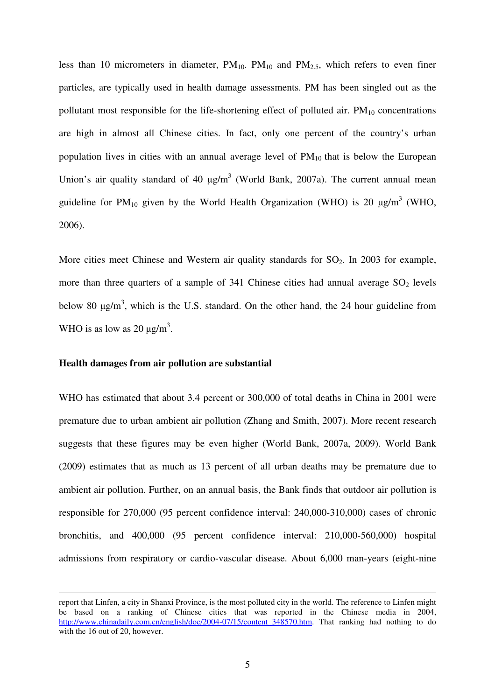less than 10 micrometers in diameter,  $PM_{10}$ .  $PM_{10}$  and  $PM_{2.5}$ , which refers to even finer particles, are typically used in health damage assessments. PM has been singled out as the pollutant most responsible for the life-shortening effect of polluted air.  $PM_{10}$  concentrations are high in almost all Chinese cities. In fact, only one percent of the country's urban population lives in cities with an annual average level of  $PM_{10}$  that is below the European Union's air quality standard of 40  $\mu$ g/m<sup>3</sup> (World Bank, 2007a). The current annual mean guideline for PM<sub>10</sub> given by the World Health Organization (WHO) is 20  $\mu$ g/m<sup>3</sup> (WHO, 2006).

More cities meet Chinese and Western air quality standards for  $SO_2$ . In 2003 for example, more than three quarters of a sample of 341 Chinese cities had annual average  $SO_2$  levels below 80  $\mu$ g/m<sup>3</sup>, which is the U.S. standard. On the other hand, the 24 hour guideline from WHO is as low as 20  $\mu$ g/m<sup>3</sup>.

### **Health damages from air pollution are substantial**

-

WHO has estimated that about 3.4 percent or 300,000 of total deaths in China in 2001 were premature due to urban ambient air pollution (Zhang and Smith, 2007). More recent research suggests that these figures may be even higher (World Bank, 2007a, 2009). World Bank (2009) estimates that as much as 13 percent of all urban deaths may be premature due to ambient air pollution. Further, on an annual basis, the Bank finds that outdoor air pollution is responsible for 270,000 (95 percent confidence interval: 240,000-310,000) cases of chronic bronchitis, and 400,000 (95 percent confidence interval: 210,000-560,000) hospital admissions from respiratory or cardio-vascular disease. About 6,000 man-years (eight-nine

report that Linfen, a city in Shanxi Province, is the most polluted city in the world. The reference to Linfen might be based on a ranking of Chinese cities that was reported in the Chinese media in 2004, http://www.chinadaily.com.cn/english/doc/2004-07/15/content\_348570.htm. That ranking had nothing to do with the 16 out of 20, however.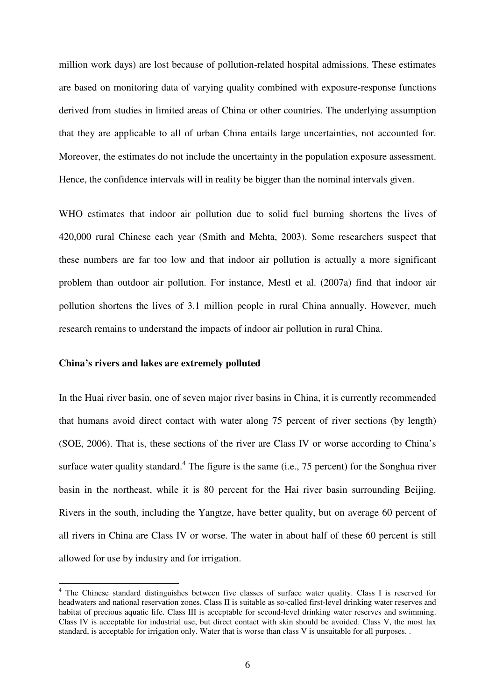million work days) are lost because of pollution-related hospital admissions. These estimates are based on monitoring data of varying quality combined with exposure-response functions derived from studies in limited areas of China or other countries. The underlying assumption that they are applicable to all of urban China entails large uncertainties, not accounted for. Moreover, the estimates do not include the uncertainty in the population exposure assessment. Hence, the confidence intervals will in reality be bigger than the nominal intervals given.

WHO estimates that indoor air pollution due to solid fuel burning shortens the lives of 420,000 rural Chinese each year (Smith and Mehta, 2003). Some researchers suspect that these numbers are far too low and that indoor air pollution is actually a more significant problem than outdoor air pollution. For instance, Mestl et al. (2007a) find that indoor air pollution shortens the lives of 3.1 million people in rural China annually. However, much research remains to understand the impacts of indoor air pollution in rural China.

### **China's rivers and lakes are extremely polluted**

 $\overline{a}$ 

In the Huai river basin, one of seven major river basins in China, it is currently recommended that humans avoid direct contact with water along 75 percent of river sections (by length) (SOE, 2006). That is, these sections of the river are Class IV or worse according to China's surface water quality standard.<sup>4</sup> The figure is the same (i.e., 75 percent) for the Songhua river basin in the northeast, while it is 80 percent for the Hai river basin surrounding Beijing. Rivers in the south, including the Yangtze, have better quality, but on average 60 percent of all rivers in China are Class IV or worse. The water in about half of these 60 percent is still allowed for use by industry and for irrigation.

<sup>&</sup>lt;sup>4</sup> The Chinese standard distinguishes between five classes of surface water quality. Class I is reserved for headwaters and national reservation zones. Class II is suitable as so-called first-level drinking water reserves and habitat of precious aquatic life. Class III is acceptable for second-level drinking water reserves and swimming. Class IV is acceptable for industrial use, but direct contact with skin should be avoided. Class V, the most lax standard, is acceptable for irrigation only. Water that is worse than class V is unsuitable for all purposes. .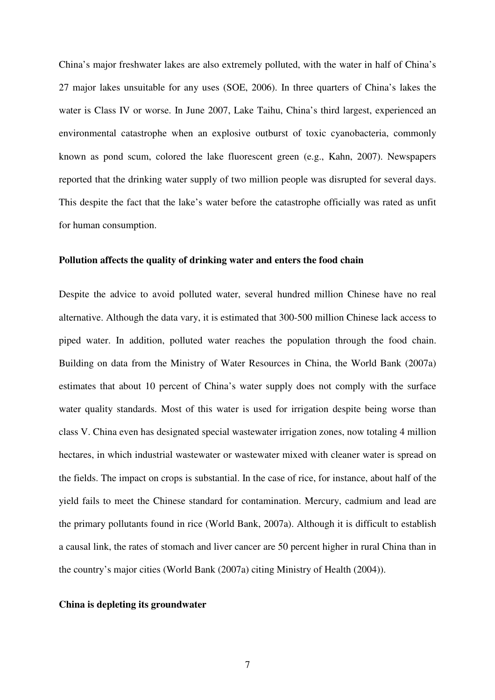China's major freshwater lakes are also extremely polluted, with the water in half of China's 27 major lakes unsuitable for any uses (SOE, 2006). In three quarters of China's lakes the water is Class IV or worse. In June 2007, Lake Taihu, China's third largest, experienced an environmental catastrophe when an explosive outburst of toxic cyanobacteria, commonly known as pond scum, colored the lake fluorescent green (e.g., Kahn, 2007). Newspapers reported that the drinking water supply of two million people was disrupted for several days. This despite the fact that the lake's water before the catastrophe officially was rated as unfit for human consumption.

### **Pollution affects the quality of drinking water and enters the food chain**

Despite the advice to avoid polluted water, several hundred million Chinese have no real alternative. Although the data vary, it is estimated that 300-500 million Chinese lack access to piped water. In addition, polluted water reaches the population through the food chain. Building on data from the Ministry of Water Resources in China, the World Bank (2007a) estimates that about 10 percent of China's water supply does not comply with the surface water quality standards. Most of this water is used for irrigation despite being worse than class V. China even has designated special wastewater irrigation zones, now totaling 4 million hectares, in which industrial wastewater or wastewater mixed with cleaner water is spread on the fields. The impact on crops is substantial. In the case of rice, for instance, about half of the yield fails to meet the Chinese standard for contamination. Mercury, cadmium and lead are the primary pollutants found in rice (World Bank, 2007a). Although it is difficult to establish a causal link, the rates of stomach and liver cancer are 50 percent higher in rural China than in the country's major cities (World Bank (2007a) citing Ministry of Health (2004)).

### **China is depleting its groundwater**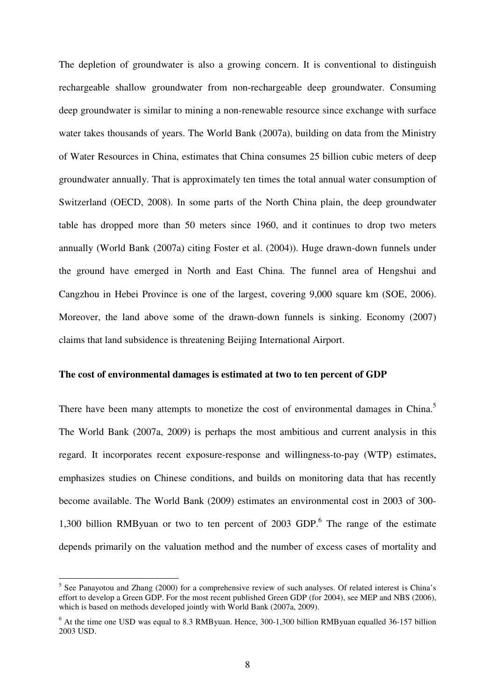The depletion of groundwater is also a growing concern. It is conventional to distinguish rechargeable shallow groundwater from non-rechargeable deep groundwater. Consuming deep groundwater is similar to mining a non-renewable resource since exchange with surface water takes thousands of years. The World Bank (2007a), building on data from the Ministry of Water Resources in China, estimates that China consumes 25 billion cubic meters of deep groundwater annually. That is approximately ten times the total annual water consumption of Switzerland (OECD, 2008). In some parts of the North China plain, the deep groundwater table has dropped more than 50 meters since 1960, and it continues to drop two meters annually (World Bank (2007a) citing Foster et al. (2004)). Huge drawn-down funnels under the ground have emerged in North and East China. The funnel area of Hengshui and Cangzhou in Hebei Province is one of the largest, covering 9,000 square km (SOE, 2006). Moreover, the land above some of the drawn-down funnels is sinking. Economy (2007) claims that land subsidence is threatening Beijing International Airport.

### **The cost of environmental damages is estimated at two to ten percent of GDP**

There have been many attempts to monetize the cost of environmental damages in China.<sup>5</sup> The World Bank (2007a, 2009) is perhaps the most ambitious and current analysis in this regard. It incorporates recent exposure-response and willingness-to-pay (WTP) estimates, emphasizes studies on Chinese conditions, and builds on monitoring data that has recently become available. The World Bank (2009) estimates an environmental cost in 2003 of 300- 1,300 billion RMByuan or two to ten percent of 2003 GDP. $<sup>6</sup>$  The range of the estimate</sup> depends primarily on the valuation method and the number of excess cases of mortality and

 $\overline{a}$ 

<sup>&</sup>lt;sup>5</sup> See Panayotou and Zhang (2000) for a comprehensive review of such analyses. Of related interest is China's effort to develop a Green GDP. For the most recent published Green GDP (for 2004), see MEP and NBS (2006), which is based on methods developed jointly with World Bank (2007a, 2009).

<sup>&</sup>lt;sup>6</sup> At the time one USD was equal to 8.3 RMByuan. Hence, 300-1,300 billion RMByuan equalled 36-157 billion 2003 USD.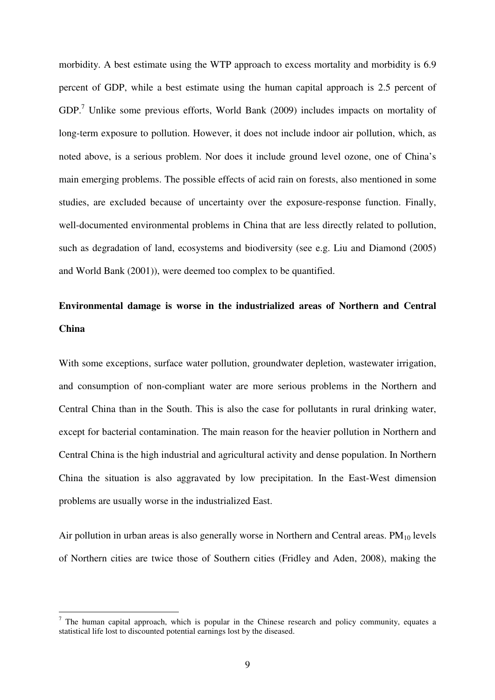morbidity. A best estimate using the WTP approach to excess mortality and morbidity is 6.9 percent of GDP, while a best estimate using the human capital approach is 2.5 percent of  $GDP<sup>7</sup>$  Unlike some previous efforts, World Bank (2009) includes impacts on mortality of long-term exposure to pollution. However, it does not include indoor air pollution, which, as noted above, is a serious problem. Nor does it include ground level ozone, one of China's main emerging problems. The possible effects of acid rain on forests, also mentioned in some studies, are excluded because of uncertainty over the exposure-response function. Finally, well-documented environmental problems in China that are less directly related to pollution, such as degradation of land, ecosystems and biodiversity (see e.g. Liu and Diamond (2005) and World Bank (2001)), were deemed too complex to be quantified.

# **Environmental damage is worse in the industrialized areas of Northern and Central China**

With some exceptions, surface water pollution, groundwater depletion, wastewater irrigation, and consumption of non-compliant water are more serious problems in the Northern and Central China than in the South. This is also the case for pollutants in rural drinking water, except for bacterial contamination. The main reason for the heavier pollution in Northern and Central China is the high industrial and agricultural activity and dense population. In Northern China the situation is also aggravated by low precipitation. In the East-West dimension problems are usually worse in the industrialized East.

Air pollution in urban areas is also generally worse in Northern and Central areas.  $PM_{10}$  levels of Northern cities are twice those of Southern cities (Fridley and Aden, 2008), making the

 $\overline{a}$ 

 $<sup>7</sup>$  The human capital approach, which is popular in the Chinese research and policy community, equates a</sup> statistical life lost to discounted potential earnings lost by the diseased.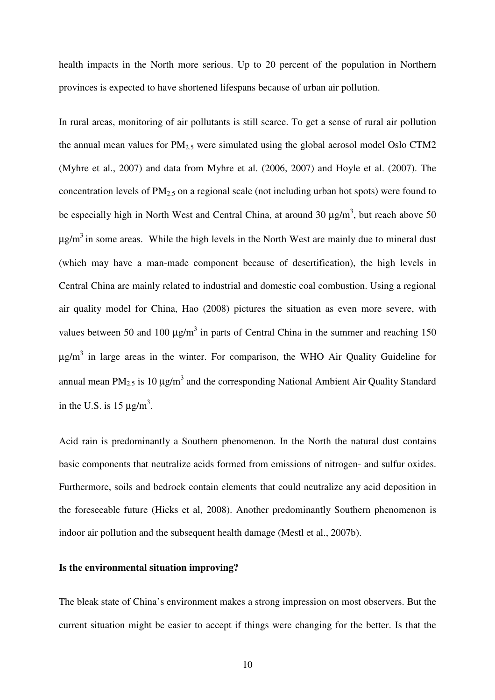health impacts in the North more serious. Up to 20 percent of the population in Northern provinces is expected to have shortened lifespans because of urban air pollution.

In rural areas, monitoring of air pollutants is still scarce. To get a sense of rural air pollution the annual mean values for  $PM_{2.5}$  were simulated using the global aerosol model Oslo CTM2 (Myhre et al., 2007) and data from Myhre et al. (2006, 2007) and Hoyle et al. (2007). The concentration levels of  $PM<sub>2.5</sub>$  on a regional scale (not including urban hot spots) were found to be especially high in North West and Central China, at around 30  $\mu$ g/m<sup>3</sup>, but reach above 50  $\mu$ g/m<sup>3</sup> in some areas. While the high levels in the North West are mainly due to mineral dust (which may have a man-made component because of desertification), the high levels in Central China are mainly related to industrial and domestic coal combustion. Using a regional air quality model for China, Hao (2008) pictures the situation as even more severe, with values between 50 and 100  $\mu$ g/m<sup>3</sup> in parts of Central China in the summer and reaching 150  $\mu$ g/m<sup>3</sup> in large areas in the winter. For comparison, the WHO Air Quality Guideline for annual mean PM<sub>2.5</sub> is 10  $\mu$ g/m<sup>3</sup> and the corresponding National Ambient Air Quality Standard in the U.S. is 15  $\mu$ g/m<sup>3</sup>.

Acid rain is predominantly a Southern phenomenon. In the North the natural dust contains basic components that neutralize acids formed from emissions of nitrogen- and sulfur oxides. Furthermore, soils and bedrock contain elements that could neutralize any acid deposition in the foreseeable future (Hicks et al, 2008). Another predominantly Southern phenomenon is indoor air pollution and the subsequent health damage (Mestl et al., 2007b).

#### **Is the environmental situation improving?**

The bleak state of China's environment makes a strong impression on most observers. But the current situation might be easier to accept if things were changing for the better. Is that the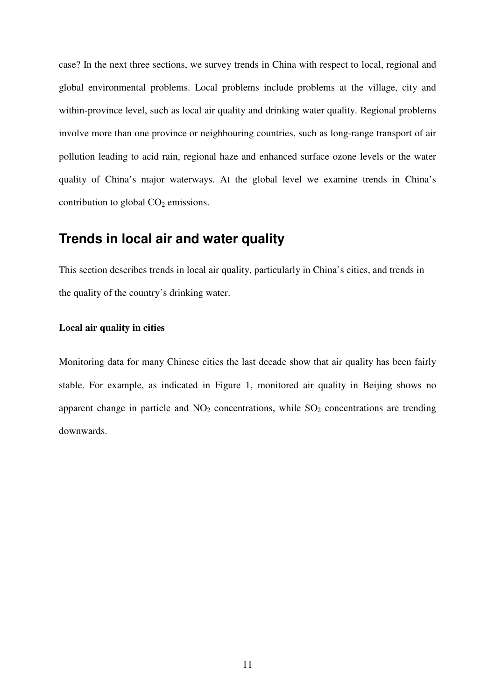case? In the next three sections, we survey trends in China with respect to local, regional and global environmental problems. Local problems include problems at the village, city and within-province level, such as local air quality and drinking water quality. Regional problems involve more than one province or neighbouring countries, such as long-range transport of air pollution leading to acid rain, regional haze and enhanced surface ozone levels or the water quality of China's major waterways. At the global level we examine trends in China's contribution to global  $CO<sub>2</sub>$  emissions.

# **Trends in local air and water quality**

This section describes trends in local air quality, particularly in China's cities, and trends in the quality of the country's drinking water.

# **Local air quality in cities**

Monitoring data for many Chinese cities the last decade show that air quality has been fairly stable. For example, as indicated in Figure 1, monitored air quality in Beijing shows no apparent change in particle and  $NO<sub>2</sub>$  concentrations, while  $SO<sub>2</sub>$  concentrations are trending downwards.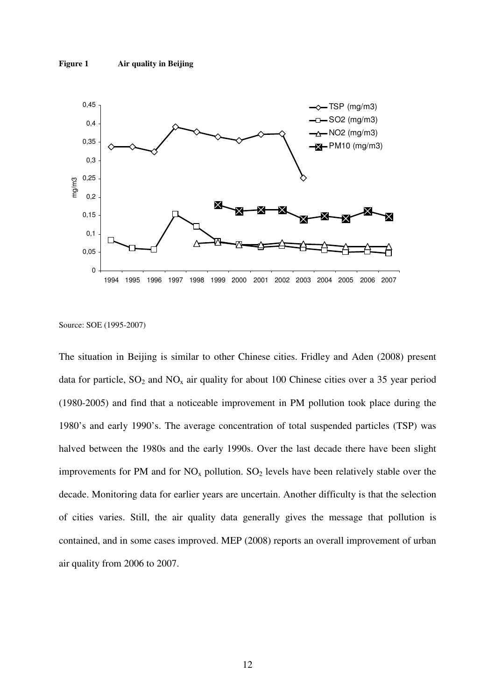

Source: SOE (1995-2007)

The situation in Beijing is similar to other Chinese cities. Fridley and Aden (2008) present data for particle,  $SO_2$  and  $NO_x$  air quality for about 100 Chinese cities over a 35 year period (1980-2005) and find that a noticeable improvement in PM pollution took place during the 1980's and early 1990's. The average concentration of total suspended particles (TSP) was halved between the 1980s and the early 1990s. Over the last decade there have been slight improvements for PM and for  $NO<sub>x</sub>$  pollution.  $SO<sub>2</sub>$  levels have been relatively stable over the decade. Monitoring data for earlier years are uncertain. Another difficulty is that the selection of cities varies. Still, the air quality data generally gives the message that pollution is contained, and in some cases improved. MEP (2008) reports an overall improvement of urban air quality from 2006 to 2007.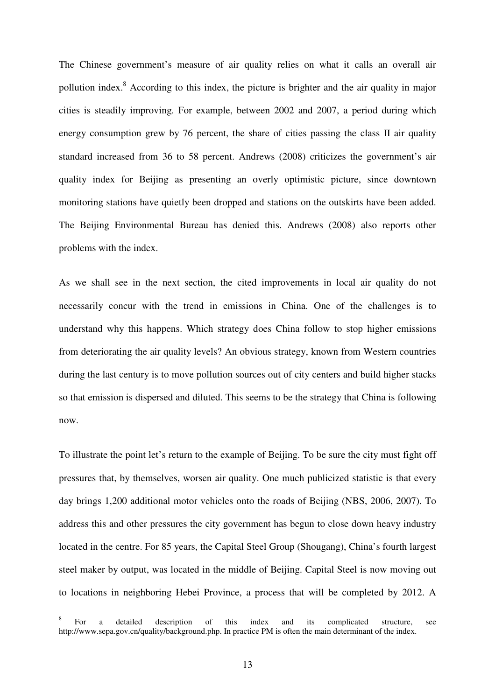The Chinese government's measure of air quality relies on what it calls an overall air pollution index.<sup>8</sup> According to this index, the picture is brighter and the air quality in major cities is steadily improving. For example, between 2002 and 2007, a period during which energy consumption grew by 76 percent, the share of cities passing the class II air quality standard increased from 36 to 58 percent. Andrews (2008) criticizes the government's air quality index for Beijing as presenting an overly optimistic picture, since downtown monitoring stations have quietly been dropped and stations on the outskirts have been added. The Beijing Environmental Bureau has denied this. Andrews (2008) also reports other problems with the index.

As we shall see in the next section, the cited improvements in local air quality do not necessarily concur with the trend in emissions in China. One of the challenges is to understand why this happens. Which strategy does China follow to stop higher emissions from deteriorating the air quality levels? An obvious strategy, known from Western countries during the last century is to move pollution sources out of city centers and build higher stacks so that emission is dispersed and diluted. This seems to be the strategy that China is following now.

To illustrate the point let's return to the example of Beijing. To be sure the city must fight off pressures that, by themselves, worsen air quality. One much publicized statistic is that every day brings 1,200 additional motor vehicles onto the roads of Beijing (NBS, 2006, 2007). To address this and other pressures the city government has begun to close down heavy industry located in the centre. For 85 years, the Capital Steel Group (Shougang), China's fourth largest steel maker by output, was located in the middle of Beijing. Capital Steel is now moving out to locations in neighboring Hebei Province, a process that will be completed by 2012. A

 $\overline{a}$ 

<sup>8</sup> For a detailed description of this index and its complicated structure, see http://www.sepa.gov.cn/quality/background.php. In practice PM is often the main determinant of the index.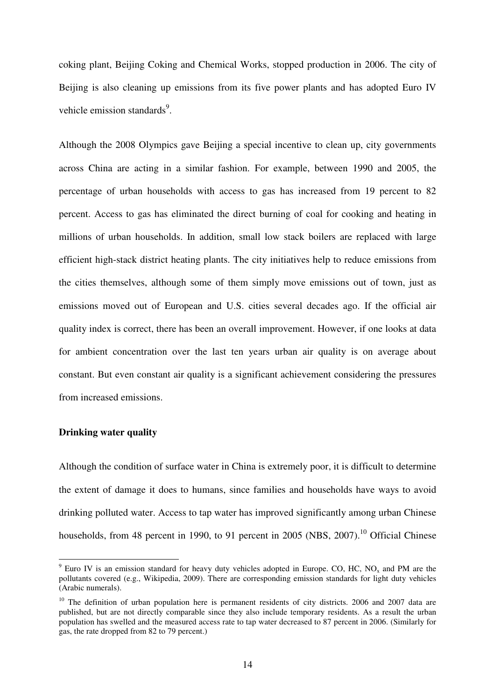coking plant, Beijing Coking and Chemical Works, stopped production in 2006. The city of Beijing is also cleaning up emissions from its five power plants and has adopted Euro IV vehicle emission standards<sup>9</sup>.

Although the 2008 Olympics gave Beijing a special incentive to clean up, city governments across China are acting in a similar fashion. For example, between 1990 and 2005, the percentage of urban households with access to gas has increased from 19 percent to 82 percent. Access to gas has eliminated the direct burning of coal for cooking and heating in millions of urban households. In addition, small low stack boilers are replaced with large efficient high-stack district heating plants. The city initiatives help to reduce emissions from the cities themselves, although some of them simply move emissions out of town, just as emissions moved out of European and U.S. cities several decades ago. If the official air quality index is correct, there has been an overall improvement. However, if one looks at data for ambient concentration over the last ten years urban air quality is on average about constant. But even constant air quality is a significant achievement considering the pressures from increased emissions.

## **Drinking water quality**

Although the condition of surface water in China is extremely poor, it is difficult to determine the extent of damage it does to humans, since families and households have ways to avoid drinking polluted water. Access to tap water has improved significantly among urban Chinese households, from 48 percent in 1990, to 91 percent in 2005 (NBS,  $2007$ ).<sup>10</sup> Official Chinese

 $\frac{9}{9}$  Euro IV is an emission standard for heavy duty vehicles adopted in Europe. CO, HC, NO<sub>x</sub> and PM are the pollutants covered (e.g., Wikipedia, 2009). There are corresponding emission standards for light duty vehicles (Arabic numerals).

 $10$  The definition of urban population here is permanent residents of city districts. 2006 and 2007 data are published, but are not directly comparable since they also include temporary residents. As a result the urban population has swelled and the measured access rate to tap water decreased to 87 percent in 2006. (Similarly for gas, the rate dropped from 82 to 79 percent.)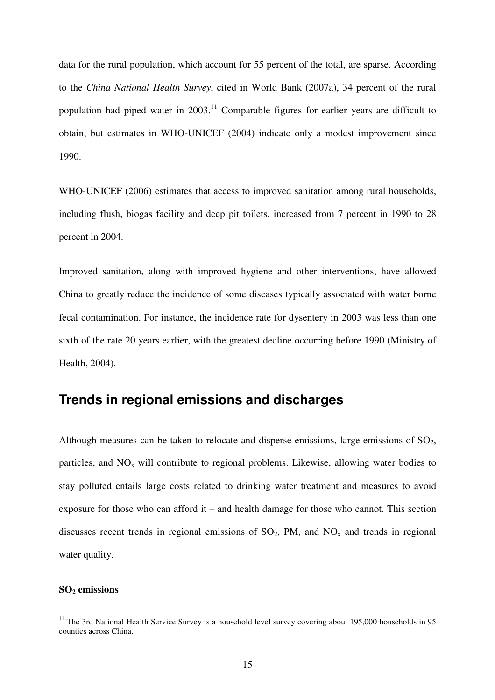data for the rural population, which account for 55 percent of the total, are sparse. According to the *China National Health Survey*, cited in World Bank (2007a), 34 percent of the rural population had piped water in  $2003$ .<sup>11</sup> Comparable figures for earlier years are difficult to obtain, but estimates in WHO-UNICEF (2004) indicate only a modest improvement since 1990.

WHO-UNICEF (2006) estimates that access to improved sanitation among rural households, including flush, biogas facility and deep pit toilets, increased from 7 percent in 1990 to 28 percent in 2004.

Improved sanitation, along with improved hygiene and other interventions, have allowed China to greatly reduce the incidence of some diseases typically associated with water borne fecal contamination. For instance, the incidence rate for dysentery in 2003 was less than one sixth of the rate 20 years earlier, with the greatest decline occurring before 1990 (Ministry of Health, 2004).

# **Trends in regional emissions and discharges**

Although measures can be taken to relocate and disperse emissions, large emissions of  $SO<sub>2</sub>$ , particles, and  $NO<sub>x</sub>$  will contribute to regional problems. Likewise, allowing water bodies to stay polluted entails large costs related to drinking water treatment and measures to avoid exposure for those who can afford it – and health damage for those who cannot. This section discusses recent trends in regional emissions of  $SO_2$ , PM, and  $NO<sub>x</sub>$  and trends in regional water quality.

### **SO2 emissions**

 $\overline{a}$ 

<sup>&</sup>lt;sup>11</sup> The 3rd National Health Service Survey is a household level survey covering about 195,000 households in 95 counties across China.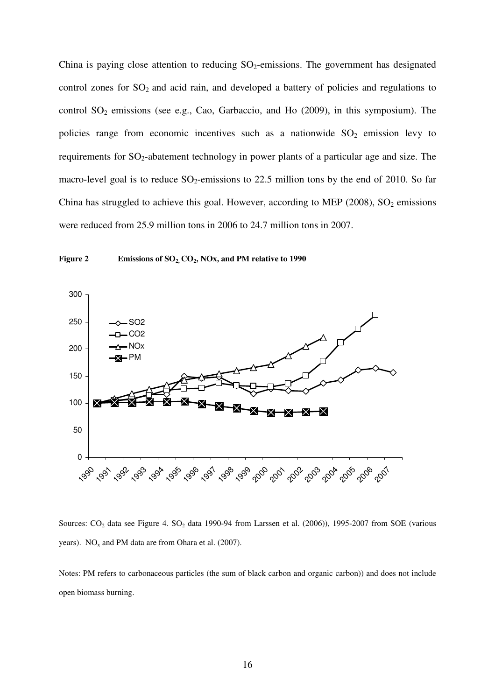China is paying close attention to reducing  $SO_2$ -emissions. The government has designated control zones for  $SO_2$  and acid rain, and developed a battery of policies and regulations to control  $SO_2$  emissions (see e.g., Cao, Garbaccio, and Ho (2009), in this symposium). The policies range from economic incentives such as a nationwide  $SO_2$  emission levy to requirements for  $SO_2$ -abatement technology in power plants of a particular age and size. The macro-level goal is to reduce  $SO_2$ -emissions to 22.5 million tons by the end of 2010. So far China has struggled to achieve this goal. However, according to MEP (2008),  $SO_2$  emissions were reduced from 25.9 million tons in 2006 to 24.7 million tons in 2007.



**Figure 2 Emissions of SO2, CO2, NOx, and PM relative to 1990** 

Sources: CO<sub>2</sub> data see Figure 4. SO<sub>2</sub> data 1990-94 from Larssen et al. (2006)), 1995-2007 from SOE (various years).  $NO<sub>x</sub>$  and PM data are from Ohara et al. (2007).

Notes: PM refers to carbonaceous particles (the sum of black carbon and organic carbon)) and does not include open biomass burning.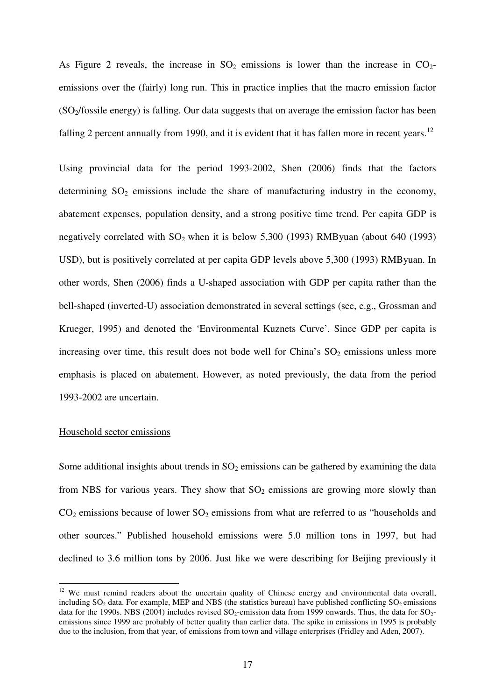As Figure 2 reveals, the increase in  $SO_2$  emissions is lower than the increase in  $CO_2$ emissions over the (fairly) long run. This in practice implies that the macro emission factor (SO2/fossile energy) is falling. Our data suggests that on average the emission factor has been falling 2 percent annually from 1990, and it is evident that it has fallen more in recent years.<sup>12</sup>

Using provincial data for the period 1993-2002, Shen (2006) finds that the factors determining  $SO_2$  emissions include the share of manufacturing industry in the economy, abatement expenses, population density, and a strong positive time trend. Per capita GDP is negatively correlated with  $SO_2$  when it is below 5,300 (1993) RMByuan (about 640 (1993) USD), but is positively correlated at per capita GDP levels above 5,300 (1993) RMByuan. In other words, Shen (2006) finds a U-shaped association with GDP per capita rather than the bell-shaped (inverted-U) association demonstrated in several settings (see, e.g., Grossman and Krueger, 1995) and denoted the 'Environmental Kuznets Curve'. Since GDP per capita is increasing over time, this result does not bode well for China's  $SO_2$  emissions unless more emphasis is placed on abatement. However, as noted previously, the data from the period 1993-2002 are uncertain.

### Household sector emissions

 $\overline{a}$ 

Some additional insights about trends in  $SO_2$  emissions can be gathered by examining the data from NBS for various years. They show that  $SO<sub>2</sub>$  emissions are growing more slowly than  $CO<sub>2</sub>$  emissions because of lower  $SO<sub>2</sub>$  emissions from what are referred to as "households and other sources." Published household emissions were 5.0 million tons in 1997, but had declined to 3.6 million tons by 2006. Just like we were describing for Beijing previously it

<sup>&</sup>lt;sup>12</sup> We must remind readers about the uncertain quality of Chinese energy and environmental data overall, including  $SO_2$  data. For example, MEP and NBS (the statistics bureau) have published conflicting  $SO_2$  emissions data for the 1990s. NBS (2004) includes revised  $SO_2$ -emission data from 1999 onwards. Thus, the data for  $SO_2$ emissions since 1999 are probably of better quality than earlier data. The spike in emissions in 1995 is probably due to the inclusion, from that year, of emissions from town and village enterprises (Fridley and Aden, 2007).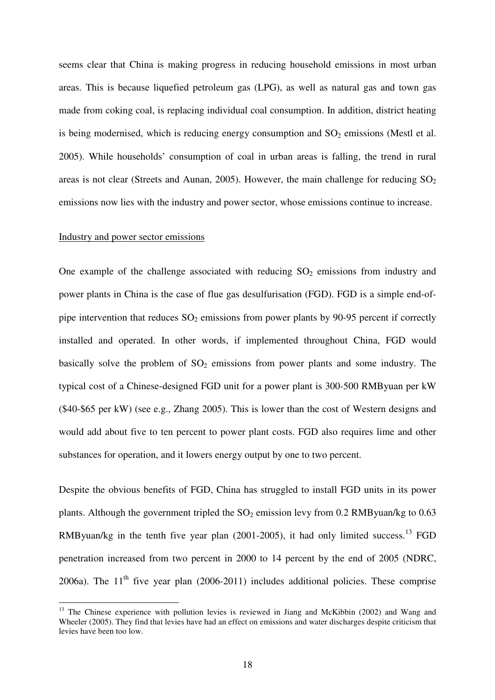seems clear that China is making progress in reducing household emissions in most urban areas. This is because liquefied petroleum gas (LPG), as well as natural gas and town gas made from coking coal, is replacing individual coal consumption. In addition, district heating is being modernised, which is reducing energy consumption and  $SO<sub>2</sub>$  emissions (Mestl et al. 2005). While households' consumption of coal in urban areas is falling, the trend in rural areas is not clear (Streets and Aunan, 2005). However, the main challenge for reducing  $SO<sub>2</sub>$ emissions now lies with the industry and power sector, whose emissions continue to increase.

## Industry and power sector emissions

 $\overline{a}$ 

One example of the challenge associated with reducing  $SO_2$  emissions from industry and power plants in China is the case of flue gas desulfurisation (FGD). FGD is a simple end-ofpipe intervention that reduces  $SO_2$  emissions from power plants by 90-95 percent if correctly installed and operated. In other words, if implemented throughout China, FGD would basically solve the problem of  $SO_2$  emissions from power plants and some industry. The typical cost of a Chinese-designed FGD unit for a power plant is 300-500 RMByuan per kW (\$40-\$65 per kW) (see e.g., Zhang 2005). This is lower than the cost of Western designs and would add about five to ten percent to power plant costs. FGD also requires lime and other substances for operation, and it lowers energy output by one to two percent.

Despite the obvious benefits of FGD, China has struggled to install FGD units in its power plants. Although the government tripled the  $SO_2$  emission levy from 0.2 RMByuan/kg to 0.63 RMByuan/kg in the tenth five year plan  $(2001-2005)$ , it had only limited success.<sup>13</sup> FGD penetration increased from two percent in 2000 to 14 percent by the end of 2005 (NDRC, 2006a). The  $11<sup>th</sup>$  five year plan (2006-2011) includes additional policies. These comprise

<sup>&</sup>lt;sup>13</sup> The Chinese experience with pollution levies is reviewed in Jiang and McKibbin (2002) and Wang and Wheeler (2005). They find that levies have had an effect on emissions and water discharges despite criticism that levies have been too low.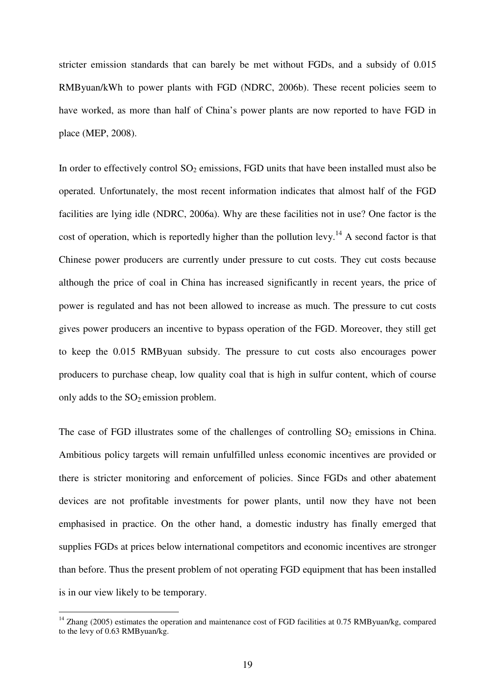stricter emission standards that can barely be met without FGDs, and a subsidy of 0.015 RMByuan/kWh to power plants with FGD (NDRC, 2006b). These recent policies seem to have worked, as more than half of China's power plants are now reported to have FGD in place (MEP, 2008).

In order to effectively control  $SO_2$  emissions, FGD units that have been installed must also be operated. Unfortunately, the most recent information indicates that almost half of the FGD facilities are lying idle (NDRC, 2006a). Why are these facilities not in use? One factor is the cost of operation, which is reportedly higher than the pollution levy.<sup>14</sup> A second factor is that Chinese power producers are currently under pressure to cut costs. They cut costs because although the price of coal in China has increased significantly in recent years, the price of power is regulated and has not been allowed to increase as much. The pressure to cut costs gives power producers an incentive to bypass operation of the FGD. Moreover, they still get to keep the 0.015 RMByuan subsidy. The pressure to cut costs also encourages power producers to purchase cheap, low quality coal that is high in sulfur content, which of course only adds to the  $SO_2$  emission problem.

The case of FGD illustrates some of the challenges of controlling  $SO_2$  emissions in China. Ambitious policy targets will remain unfulfilled unless economic incentives are provided or there is stricter monitoring and enforcement of policies. Since FGDs and other abatement devices are not profitable investments for power plants, until now they have not been emphasised in practice. On the other hand, a domestic industry has finally emerged that supplies FGDs at prices below international competitors and economic incentives are stronger than before. Thus the present problem of not operating FGD equipment that has been installed is in our view likely to be temporary.

 $\overline{a}$ 

 $14$  Zhang (2005) estimates the operation and maintenance cost of FGD facilities at 0.75 RMByuan/kg, compared to the levy of 0.63 RMByuan/kg.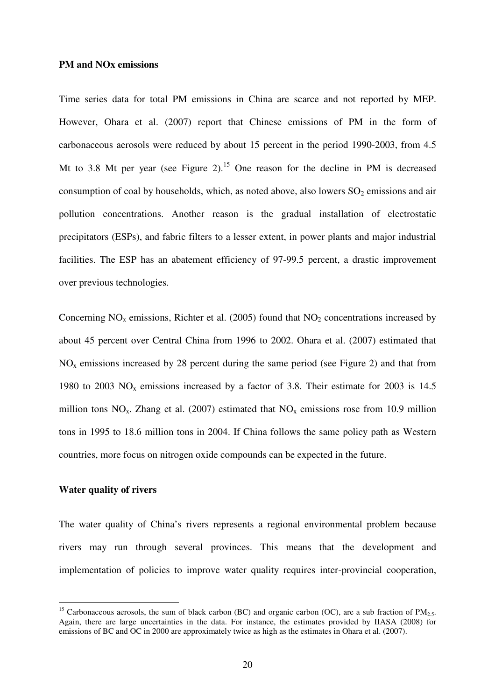### **PM and NOx emissions**

Time series data for total PM emissions in China are scarce and not reported by MEP. However, Ohara et al. (2007) report that Chinese emissions of PM in the form of carbonaceous aerosols were reduced by about 15 percent in the period 1990-2003, from 4.5 Mt to 3.8 Mt per year (see Figure 2).<sup>15</sup> One reason for the decline in PM is decreased consumption of coal by households, which, as noted above, also lowers  $SO_2$  emissions and air pollution concentrations. Another reason is the gradual installation of electrostatic precipitators (ESPs), and fabric filters to a lesser extent, in power plants and major industrial facilities. The ESP has an abatement efficiency of 97-99.5 percent, a drastic improvement over previous technologies.

Concerning  $NO<sub>x</sub>$  emissions, Richter et al. (2005) found that  $NO<sub>2</sub>$  concentrations increased by about 45 percent over Central China from 1996 to 2002. Ohara et al. (2007) estimated that  $NO<sub>x</sub>$  emissions increased by 28 percent during the same period (see Figure 2) and that from 1980 to 2003  $NO<sub>x</sub>$  emissions increased by a factor of 3.8. Their estimate for 2003 is 14.5 million tons  $NO_x$ . Zhang et al. (2007) estimated that  $NO_x$  emissions rose from 10.9 million tons in 1995 to 18.6 million tons in 2004. If China follows the same policy path as Western countries, more focus on nitrogen oxide compounds can be expected in the future.

### **Water quality of rivers**

 $\overline{a}$ 

The water quality of China's rivers represents a regional environmental problem because rivers may run through several provinces. This means that the development and implementation of policies to improve water quality requires inter-provincial cooperation,

<sup>&</sup>lt;sup>15</sup> Carbonaceous aerosols, the sum of black carbon (BC) and organic carbon (OC), are a sub fraction of  $PM_{2.5}$ . Again, there are large uncertainties in the data. For instance, the estimates provided by IIASA (2008) for emissions of BC and OC in 2000 are approximately twice as high as the estimates in Ohara et al. (2007).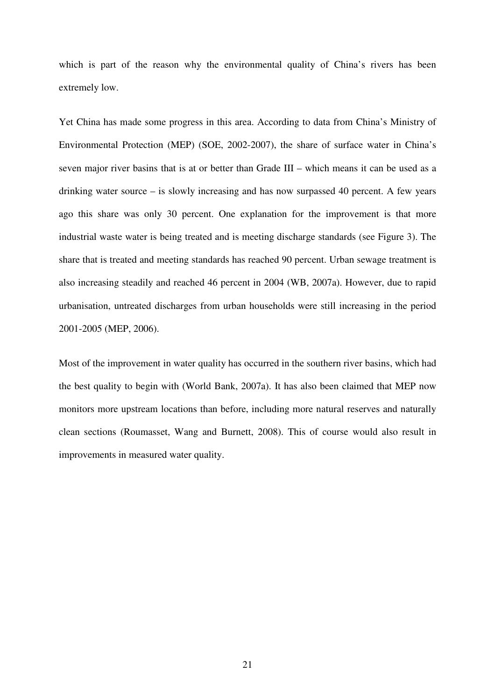which is part of the reason why the environmental quality of China's rivers has been extremely low.

Yet China has made some progress in this area. According to data from China's Ministry of Environmental Protection (MEP) (SOE, 2002-2007), the share of surface water in China's seven major river basins that is at or better than Grade III – which means it can be used as a drinking water source – is slowly increasing and has now surpassed 40 percent. A few years ago this share was only 30 percent. One explanation for the improvement is that more industrial waste water is being treated and is meeting discharge standards (see Figure 3). The share that is treated and meeting standards has reached 90 percent. Urban sewage treatment is also increasing steadily and reached 46 percent in 2004 (WB, 2007a). However, due to rapid urbanisation, untreated discharges from urban households were still increasing in the period 2001-2005 (MEP, 2006).

Most of the improvement in water quality has occurred in the southern river basins, which had the best quality to begin with (World Bank, 2007a). It has also been claimed that MEP now monitors more upstream locations than before, including more natural reserves and naturally clean sections (Roumasset, Wang and Burnett, 2008). This of course would also result in improvements in measured water quality.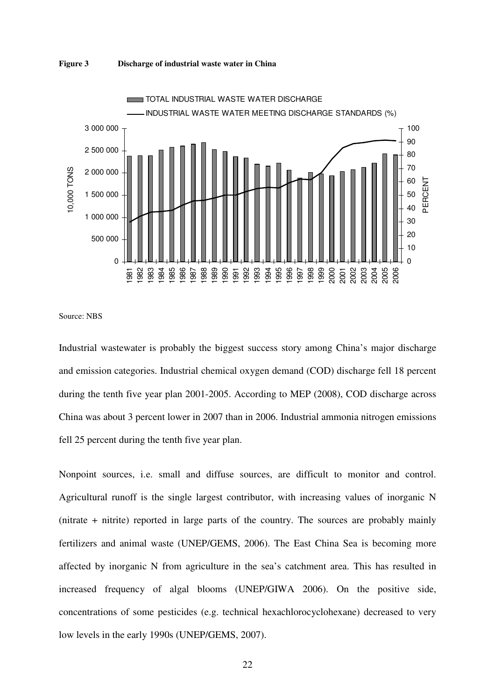



Source: NBS

Industrial wastewater is probably the biggest success story among China's major discharge and emission categories. Industrial chemical oxygen demand (COD) discharge fell 18 percent during the tenth five year plan 2001-2005. According to MEP (2008), COD discharge across China was about 3 percent lower in 2007 than in 2006. Industrial ammonia nitrogen emissions fell 25 percent during the tenth five year plan.

Nonpoint sources, i.e. small and diffuse sources, are difficult to monitor and control. Agricultural runoff is the single largest contributor, with increasing values of inorganic N (nitrate + nitrite) reported in large parts of the country. The sources are probably mainly fertilizers and animal waste (UNEP/GEMS, 2006). The East China Sea is becoming more affected by inorganic N from agriculture in the sea's catchment area. This has resulted in increased frequency of algal blooms (UNEP/GIWA 2006). On the positive side, concentrations of some pesticides (e.g. technical hexachlorocyclohexane) decreased to very low levels in the early 1990s (UNEP/GEMS, 2007).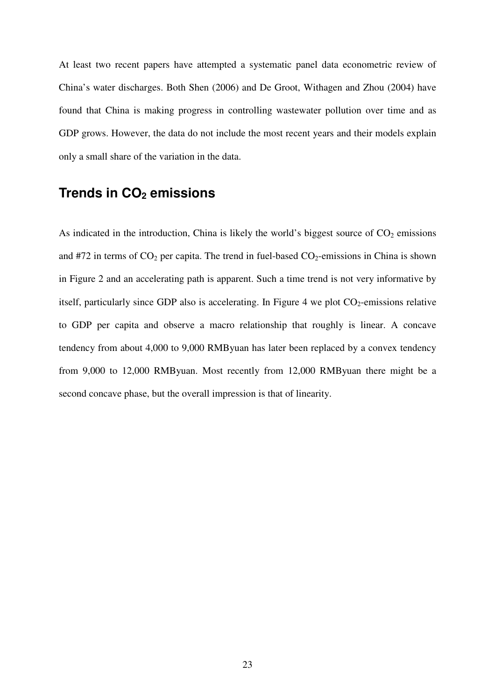At least two recent papers have attempted a systematic panel data econometric review of China's water discharges. Both Shen (2006) and De Groot, Withagen and Zhou (2004) have found that China is making progress in controlling wastewater pollution over time and as GDP grows. However, the data do not include the most recent years and their models explain only a small share of the variation in the data.

# **Trends in CO2 emissions**

As indicated in the introduction, China is likely the world's biggest source of  $CO<sub>2</sub>$  emissions and #72 in terms of  $CO_2$  per capita. The trend in fuel-based  $CO_2$ -emissions in China is shown in Figure 2 and an accelerating path is apparent. Such a time trend is not very informative by itself, particularly since GDP also is accelerating. In Figure 4 we plot  $CO<sub>2</sub>$ -emissions relative to GDP per capita and observe a macro relationship that roughly is linear. A concave tendency from about 4,000 to 9,000 RMByuan has later been replaced by a convex tendency from 9,000 to 12,000 RMByuan. Most recently from 12,000 RMByuan there might be a second concave phase, but the overall impression is that of linearity.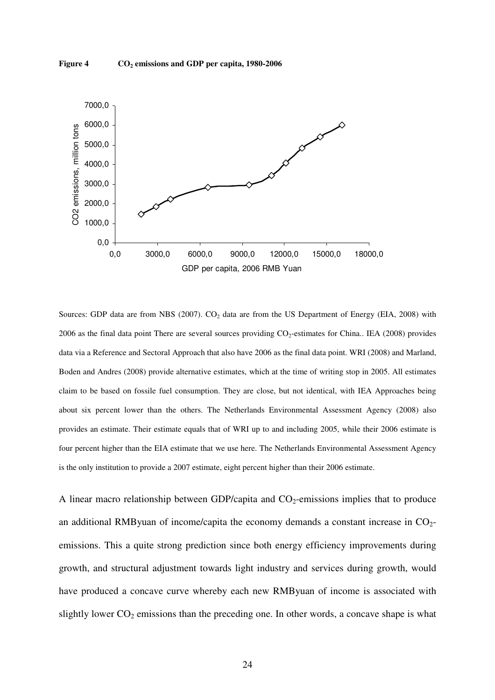

Sources: GDP data are from NBS (2007).  $CO<sub>2</sub>$  data are from the US Department of Energy (EIA, 2008) with 2006 as the final data point There are several sources providing  $CO<sub>2</sub>$ -estimates for China.. IEA (2008) provides data via a Reference and Sectoral Approach that also have 2006 as the final data point. WRI (2008) and Marland, Boden and Andres (2008) provide alternative estimates, which at the time of writing stop in 2005. All estimates claim to be based on fossile fuel consumption. They are close, but not identical, with IEA Approaches being about six percent lower than the others. The Netherlands Environmental Assessment Agency (2008) also provides an estimate. Their estimate equals that of WRI up to and including 2005, while their 2006 estimate is four percent higher than the EIA estimate that we use here. The Netherlands Environmental Assessment Agency is the only institution to provide a 2007 estimate, eight percent higher than their 2006 estimate.

A linear macro relationship between GDP/capita and  $CO<sub>2</sub>$ -emissions implies that to produce an additional RMByuan of income/capita the economy demands a constant increase in  $CO<sub>2</sub>$ emissions. This a quite strong prediction since both energy efficiency improvements during growth, and structural adjustment towards light industry and services during growth, would have produced a concave curve whereby each new RMByuan of income is associated with slightly lower  $CO<sub>2</sub>$  emissions than the preceding one. In other words, a concave shape is what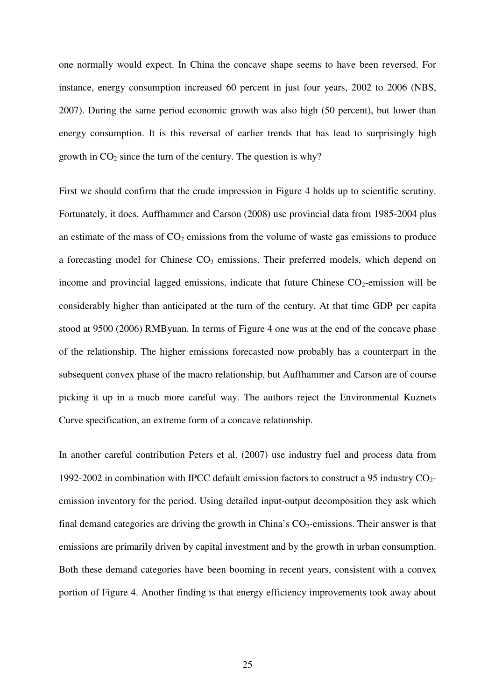one normally would expect. In China the concave shape seems to have been reversed. For instance, energy consumption increased 60 percent in just four years, 2002 to 2006 (NBS, 2007). During the same period economic growth was also high (50 percent), but lower than energy consumption. It is this reversal of earlier trends that has lead to surprisingly high growth in  $CO<sub>2</sub>$  since the turn of the century. The question is why?

First we should confirm that the crude impression in Figure 4 holds up to scientific scrutiny. Fortunately, it does. Auffhammer and Carson (2008) use provincial data from 1985-2004 plus an estimate of the mass of  $CO<sub>2</sub>$  emissions from the volume of waste gas emissions to produce a forecasting model for Chinese  $CO<sub>2</sub>$  emissions. Their preferred models, which depend on income and provincial lagged emissions, indicate that future Chinese  $CO<sub>2</sub>$ -emission will be considerably higher than anticipated at the turn of the century. At that time GDP per capita stood at 9500 (2006) RMByuan. In terms of Figure 4 one was at the end of the concave phase of the relationship. The higher emissions forecasted now probably has a counterpart in the subsequent convex phase of the macro relationship, but Auffhammer and Carson are of course picking it up in a much more careful way. The authors reject the Environmental Kuznets Curve specification, an extreme form of a concave relationship.

In another careful contribution Peters et al. (2007) use industry fuel and process data from 1992-2002 in combination with IPCC default emission factors to construct a 95 industry  $CO<sub>2</sub>$ emission inventory for the period. Using detailed input-output decomposition they ask which final demand categories are driving the growth in China's  $CO<sub>2</sub>$ -emissions. Their answer is that emissions are primarily driven by capital investment and by the growth in urban consumption. Both these demand categories have been booming in recent years, consistent with a convex portion of Figure 4. Another finding is that energy efficiency improvements took away about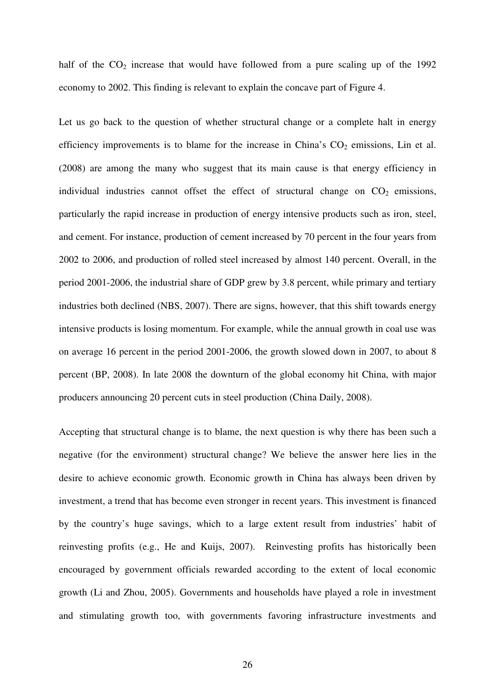half of the  $CO<sub>2</sub>$  increase that would have followed from a pure scaling up of the 1992 economy to 2002. This finding is relevant to explain the concave part of Figure 4.

Let us go back to the question of whether structural change or a complete halt in energy efficiency improvements is to blame for the increase in China's  $CO<sub>2</sub>$  emissions, Lin et al. (2008) are among the many who suggest that its main cause is that energy efficiency in individual industries cannot offset the effect of structural change on  $CO<sub>2</sub>$  emissions, particularly the rapid increase in production of energy intensive products such as iron, steel, and cement. For instance, production of cement increased by 70 percent in the four years from 2002 to 2006, and production of rolled steel increased by almost 140 percent. Overall, in the period 2001-2006, the industrial share of GDP grew by 3.8 percent, while primary and tertiary industries both declined (NBS, 2007). There are signs, however, that this shift towards energy intensive products is losing momentum. For example, while the annual growth in coal use was on average 16 percent in the period 2001-2006, the growth slowed down in 2007, to about 8 percent (BP, 2008). In late 2008 the downturn of the global economy hit China, with major producers announcing 20 percent cuts in steel production (China Daily, 2008).

Accepting that structural change is to blame, the next question is why there has been such a negative (for the environment) structural change? We believe the answer here lies in the desire to achieve economic growth. Economic growth in China has always been driven by investment, a trend that has become even stronger in recent years. This investment is financed by the country's huge savings, which to a large extent result from industries' habit of reinvesting profits (e.g., He and Kuijs, 2007). Reinvesting profits has historically been encouraged by government officials rewarded according to the extent of local economic growth (Li and Zhou, 2005). Governments and households have played a role in investment and stimulating growth too, with governments favoring infrastructure investments and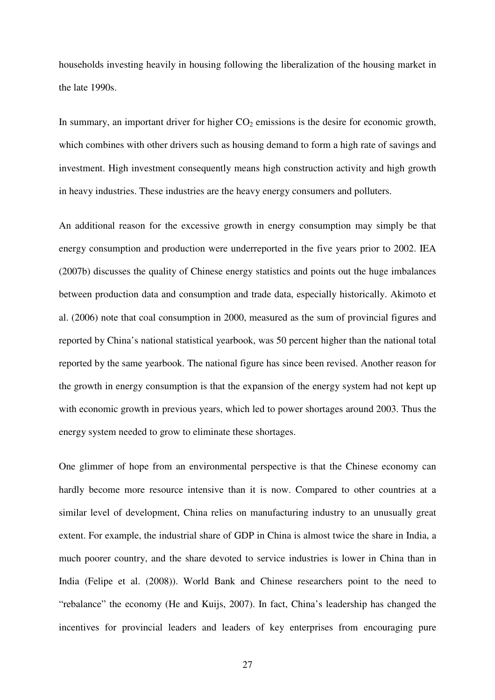households investing heavily in housing following the liberalization of the housing market in the late 1990s.

In summary, an important driver for higher  $CO<sub>2</sub>$  emissions is the desire for economic growth, which combines with other drivers such as housing demand to form a high rate of savings and investment. High investment consequently means high construction activity and high growth in heavy industries. These industries are the heavy energy consumers and polluters.

An additional reason for the excessive growth in energy consumption may simply be that energy consumption and production were underreported in the five years prior to 2002. IEA (2007b) discusses the quality of Chinese energy statistics and points out the huge imbalances between production data and consumption and trade data, especially historically. Akimoto et al. (2006) note that coal consumption in 2000, measured as the sum of provincial figures and reported by China's national statistical yearbook, was 50 percent higher than the national total reported by the same yearbook. The national figure has since been revised. Another reason for the growth in energy consumption is that the expansion of the energy system had not kept up with economic growth in previous years, which led to power shortages around 2003. Thus the energy system needed to grow to eliminate these shortages.

One glimmer of hope from an environmental perspective is that the Chinese economy can hardly become more resource intensive than it is now. Compared to other countries at a similar level of development, China relies on manufacturing industry to an unusually great extent. For example, the industrial share of GDP in China is almost twice the share in India, a much poorer country, and the share devoted to service industries is lower in China than in India (Felipe et al. (2008)). World Bank and Chinese researchers point to the need to "rebalance" the economy (He and Kuijs, 2007). In fact, China's leadership has changed the incentives for provincial leaders and leaders of key enterprises from encouraging pure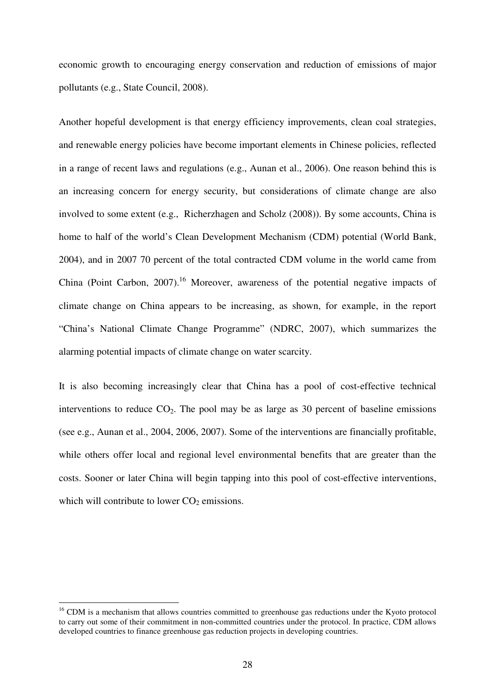economic growth to encouraging energy conservation and reduction of emissions of major pollutants (e.g., State Council, 2008).

Another hopeful development is that energy efficiency improvements, clean coal strategies, and renewable energy policies have become important elements in Chinese policies, reflected in a range of recent laws and regulations (e.g., Aunan et al., 2006). One reason behind this is an increasing concern for energy security, but considerations of climate change are also involved to some extent (e.g., Richerzhagen and Scholz (2008)). By some accounts, China is home to half of the world's Clean Development Mechanism (CDM) potential (World Bank, 2004), and in 2007 70 percent of the total contracted CDM volume in the world came from China (Point Carbon, 2007).<sup>16</sup> Moreover, awareness of the potential negative impacts of climate change on China appears to be increasing, as shown, for example, in the report "China's National Climate Change Programme" (NDRC, 2007), which summarizes the alarming potential impacts of climate change on water scarcity.

It is also becoming increasingly clear that China has a pool of cost-effective technical interventions to reduce  $CO<sub>2</sub>$ . The pool may be as large as 30 percent of baseline emissions (see e.g., Aunan et al., 2004, 2006, 2007). Some of the interventions are financially profitable, while others offer local and regional level environmental benefits that are greater than the costs. Sooner or later China will begin tapping into this pool of cost-effective interventions, which will contribute to lower  $CO<sub>2</sub>$  emissions.

 $\overline{a}$ 

<sup>&</sup>lt;sup>16</sup> CDM is a mechanism that allows countries committed to greenhouse gas reductions under the Kyoto protocol to carry out some of their commitment in non-committed countries under the protocol. In practice, CDM allows developed countries to finance greenhouse gas reduction projects in developing countries.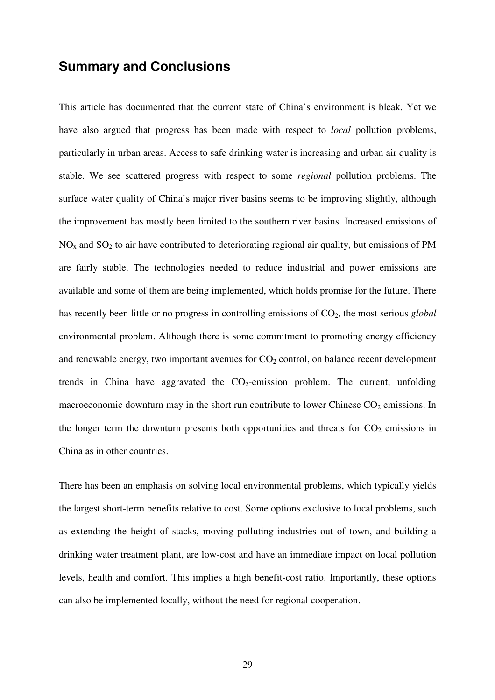# **Summary and Conclusions**

This article has documented that the current state of China's environment is bleak. Yet we have also argued that progress has been made with respect to *local* pollution problems, particularly in urban areas. Access to safe drinking water is increasing and urban air quality is stable. We see scattered progress with respect to some *regional* pollution problems. The surface water quality of China's major river basins seems to be improving slightly, although the improvement has mostly been limited to the southern river basins. Increased emissions of  $NO<sub>x</sub>$  and  $SO<sub>2</sub>$  to air have contributed to deteriorating regional air quality, but emissions of PM are fairly stable. The technologies needed to reduce industrial and power emissions are available and some of them are being implemented, which holds promise for the future. There has recently been little or no progress in controlling emissions of  $CO<sub>2</sub>$ , the most serious *global* environmental problem. Although there is some commitment to promoting energy efficiency and renewable energy, two important avenues for  $CO<sub>2</sub>$  control, on balance recent development trends in China have aggravated the  $CO<sub>2</sub>$ -emission problem. The current, unfolding macroeconomic downturn may in the short run contribute to lower Chinese  $CO<sub>2</sub>$  emissions. In the longer term the downturn presents both opportunities and threats for  $CO<sub>2</sub>$  emissions in China as in other countries.

There has been an emphasis on solving local environmental problems, which typically yields the largest short-term benefits relative to cost. Some options exclusive to local problems, such as extending the height of stacks, moving polluting industries out of town, and building a drinking water treatment plant, are low-cost and have an immediate impact on local pollution levels, health and comfort. This implies a high benefit-cost ratio. Importantly, these options can also be implemented locally, without the need for regional cooperation.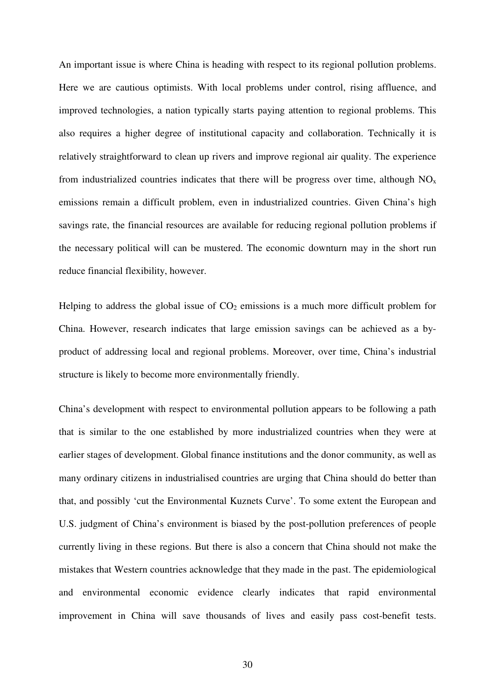An important issue is where China is heading with respect to its regional pollution problems. Here we are cautious optimists. With local problems under control, rising affluence, and improved technologies, a nation typically starts paying attention to regional problems. This also requires a higher degree of institutional capacity and collaboration. Technically it is relatively straightforward to clean up rivers and improve regional air quality. The experience from industrialized countries indicates that there will be progress over time, although  $NO<sub>x</sub>$ emissions remain a difficult problem, even in industrialized countries. Given China's high savings rate, the financial resources are available for reducing regional pollution problems if the necessary political will can be mustered. The economic downturn may in the short run reduce financial flexibility, however.

Helping to address the global issue of  $CO<sub>2</sub>$  emissions is a much more difficult problem for China. However, research indicates that large emission savings can be achieved as a byproduct of addressing local and regional problems. Moreover, over time, China's industrial structure is likely to become more environmentally friendly.

China's development with respect to environmental pollution appears to be following a path that is similar to the one established by more industrialized countries when they were at earlier stages of development. Global finance institutions and the donor community, as well as many ordinary citizens in industrialised countries are urging that China should do better than that, and possibly 'cut the Environmental Kuznets Curve'. To some extent the European and U.S. judgment of China's environment is biased by the post-pollution preferences of people currently living in these regions. But there is also a concern that China should not make the mistakes that Western countries acknowledge that they made in the past. The epidemiological and environmental economic evidence clearly indicates that rapid environmental improvement in China will save thousands of lives and easily pass cost-benefit tests.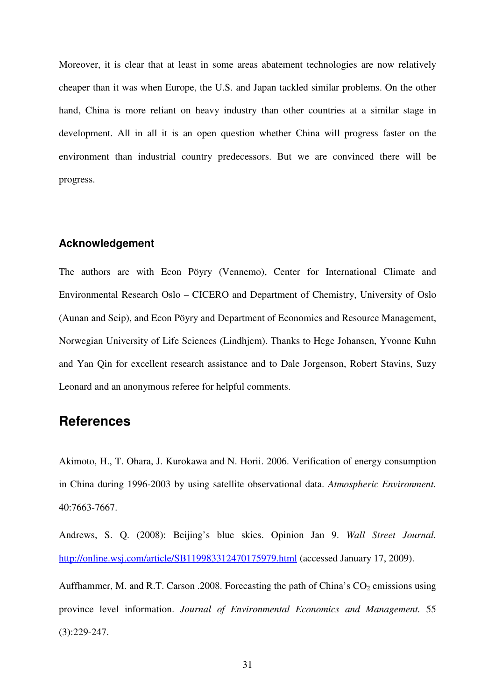Moreover, it is clear that at least in some areas abatement technologies are now relatively cheaper than it was when Europe, the U.S. and Japan tackled similar problems. On the other hand, China is more reliant on heavy industry than other countries at a similar stage in development. All in all it is an open question whether China will progress faster on the environment than industrial country predecessors. But we are convinced there will be progress.

# **Acknowledgement**

The authors are with Econ Pöyry (Vennemo), Center for International Climate and Environmental Research Oslo – CICERO and Department of Chemistry, University of Oslo (Aunan and Seip), and Econ Pöyry and Department of Economics and Resource Management, Norwegian University of Life Sciences (Lindhjem). Thanks to Hege Johansen, Yvonne Kuhn and Yan Qin for excellent research assistance and to Dale Jorgenson, Robert Stavins, Suzy Leonard and an anonymous referee for helpful comments.

# **References**

Akimoto, H., T. Ohara, J. Kurokawa and N. Horii. 2006. Verification of energy consumption in China during 1996-2003 by using satellite observational data. *Atmospheric Environment.* 40:7663-7667.

Andrews, S. Q. (2008): Beijing's blue skies. Opinion Jan 9. *Wall Street Journal.* http://online.wsj.com/article/SB119983312470175979.html (accessed January 17, 2009).

Auffhammer, M. and R.T. Carson .2008. Forecasting the path of China's  $CO<sub>2</sub>$  emissions using province level information. *Journal of Environmental Economics and Management.* 55 (3):229-247.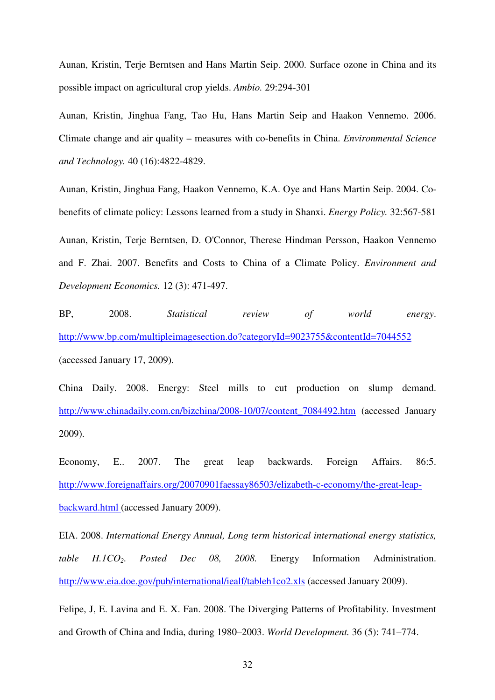Aunan, Kristin, Terje Berntsen and Hans Martin Seip. 2000. Surface ozone in China and its possible impact on agricultural crop yields. *Ambio.* 29:294-301

Aunan, Kristin, Jinghua Fang, Tao Hu, Hans Martin Seip and Haakon Vennemo. 2006. Climate change and air quality – measures with co-benefits in China. *Environmental Science and Technology.* 40 (16):4822-4829.

Aunan, Kristin, Jinghua Fang, Haakon Vennemo, K.A. Oye and Hans Martin Seip. 2004. Cobenefits of climate policy: Lessons learned from a study in Shanxi. *Energy Policy.* 32:567-581 Aunan, Kristin, Terje Berntsen, D. O'Connor, Therese Hindman Persson, Haakon Vennemo and F. Zhai. 2007. Benefits and Costs to China of a Climate Policy. *Environment and Development Economics.* 12 (3): 471-497.

BP, 2008. *Statistical review of world energy*. http://www.bp.com/multipleimagesection.do?categoryId=9023755&contentId=7044552 (accessed January 17, 2009).

China Daily. 2008. Energy: Steel mills to cut production on slump demand. http://www.chinadaily.com.cn/bizchina/2008-10/07/content\_7084492.htm (accessed January 2009).

Economy, E.. 2007. The great leap backwards. Foreign Affairs. 86:5. http://www.foreignaffairs.org/20070901faessay86503/elizabeth-c-economy/the-great-leapbackward.html (accessed January 2009).

EIA. 2008. *International Energy Annual, Long term historical international energy statistics, table H.1CO2. Posted Dec 08, 2008.* Energy Information Administration. http://www.eia.doe.gov/pub/international/iealf/tableh1co2.xls (accessed January 2009).

Felipe, J, E. Lavina and E. X. Fan. 2008. The Diverging Patterns of Profitability. Investment and Growth of China and India, during 1980–2003. *World Development.* 36 (5): 741–774.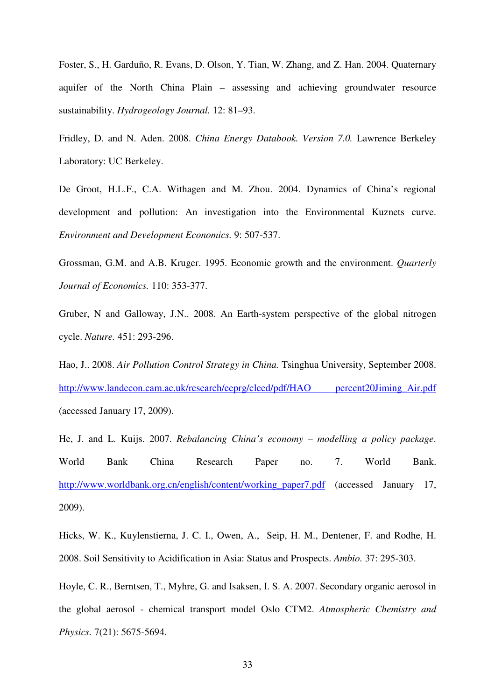Foster, S., H. Garduño, R. Evans, D. Olson, Y. Tian, W. Zhang, and Z. Han. 2004. Quaternary aquifer of the North China Plain – assessing and achieving groundwater resource sustainability. *Hydrogeology Journal.* 12: 81–93.

Fridley, D. and N. Aden. 2008. *China Energy Databook. Version 7.0.* Lawrence Berkeley Laboratory: UC Berkeley.

De Groot, H.L.F., C.A. Withagen and M. Zhou. 2004. Dynamics of China's regional development and pollution: An investigation into the Environmental Kuznets curve. *Environment and Development Economics.* 9: 507-537.

Grossman, G.M. and A.B. Kruger. 1995. Economic growth and the environment. *Quarterly Journal of Economics.* 110: 353-377.

Gruber, N and Galloway, J.N.. 2008. An Earth-system perspective of the global nitrogen cycle. *Nature.* 451: 293-296.

Hao, J.. 2008. *Air Pollution Control Strategy in China.* Tsinghua University, September 2008. http://www.landecon.cam.ac.uk/research/eeprg/cleed/pdf/HAO percent20Jiming Air.pdf (accessed January 17, 2009).

He, J. and L. Kuijs. 2007. *Rebalancing China's economy – modelling a policy package*. World Bank China Research Paper no. 7. World Bank. http://www.worldbank.org.cn/english/content/working\_paper7.pdf (accessed January 17, 2009).

Hicks, W. K., Kuylenstierna, J. C. I., Owen, A., Seip, H. M., Dentener, F. and Rodhe, H. 2008. Soil Sensitivity to Acidification in Asia: Status and Prospects. *Ambio.* 37: 295-303.

Hoyle, C. R., Berntsen, T., Myhre, G. and Isaksen, I. S. A. 2007. Secondary organic aerosol in the global aerosol - chemical transport model Oslo CTM2. *Atmospheric Chemistry and Physics.* 7(21): 5675-5694.

33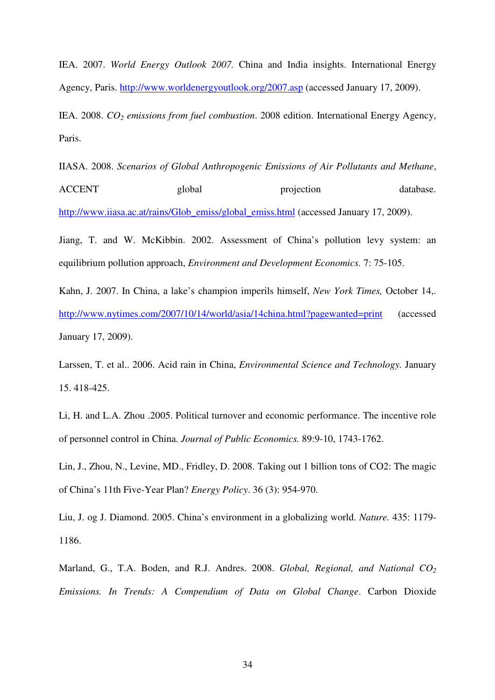IEA. 2007. *World Energy Outlook 2007.* China and India insights. International Energy Agency, Paris. http://www.worldenergyoutlook.org/2007.asp (accessed January 17, 2009).

IEA. 2008. *CO2 emissions from fuel combustion*. 2008 edition. International Energy Agency, Paris.

IIASA. 2008. *Scenarios of Global Anthropogenic Emissions of Air Pollutants and Methane*, ACCENT global projection database. http://www.iiasa.ac.at/rains/Glob\_emiss/global\_emiss.html (accessed January 17, 2009).

Jiang, T. and W. McKibbin. 2002. Assessment of China's pollution levy system: an equilibrium pollution approach, *Environment and Development Economics.* 7: 75-105.

Kahn, J. 2007. In China, a lake's champion imperils himself, *New York Times,* October 14,. http://www.nytimes.com/2007/10/14/world/asia/14china.html?pagewanted=print (accessed January 17, 2009).

Larssen, T. et al.. 2006. Acid rain in China, *Environmental Science and Technology.* January 15. 418-425.

Li, H. and L.A. Zhou .2005. Political turnover and economic performance. The incentive role of personnel control in China. *Journal of Public Economics.* 89:9-10, 1743-1762.

Lin, J., Zhou, N., Levine, MD., Fridley, D. 2008. Taking out 1 billion tons of CO2: The magic of China's 11th Five-Year Plan? *Energy Policy*. 36 (3): 954-970.

Liu, J. og J. Diamond. 2005. China's environment in a globalizing world. *Nature.* 435: 1179- 1186.

Marland, G., T.A. Boden, and R.J. Andres. 2008. *Global, Regional, and National CO*<sup>2</sup> *Emissions. In Trends: A Compendium of Data on Global Change*. Carbon Dioxide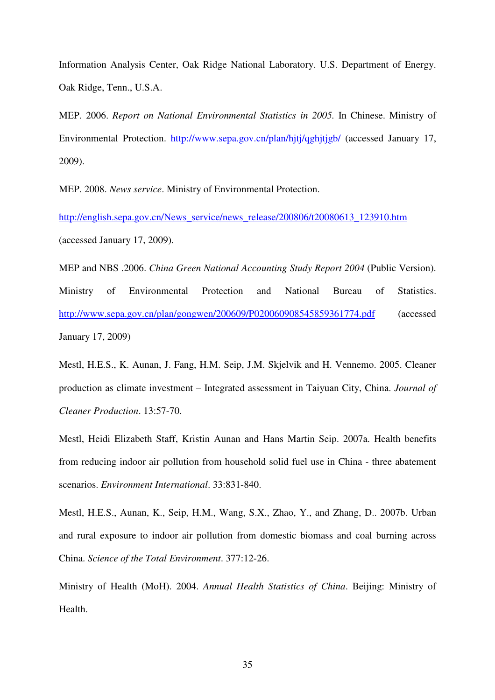Information Analysis Center, Oak Ridge National Laboratory. U.S. Department of Energy. Oak Ridge, Tenn., U.S.A.

MEP. 2006. *Report on National Environmental Statistics in 2005.* In Chinese. Ministry of Environmental Protection. http://www.sepa.gov.cn/plan/hjtj/qghjtjgb/ (accessed January 17, 2009).

MEP. 2008. *News service*. Ministry of Environmental Protection.

http://english.sepa.gov.cn/News\_service/news\_release/200806/t20080613\_123910.htm (accessed January 17, 2009).

MEP and NBS .2006. *China Green National Accounting Study Report 2004* (Public Version). Ministry of Environmental Protection and National Bureau of Statistics. http://www.sepa.gov.cn/plan/gongwen/200609/P020060908545859361774.pdf (accessed January 17, 2009)

Mestl, H.E.S., K. Aunan, J. Fang, H.M. Seip, J.M. Skjelvik and H. Vennemo. 2005. Cleaner production as climate investment – Integrated assessment in Taiyuan City, China. *Journal of Cleaner Production*. 13:57-70.

Mestl, Heidi Elizabeth Staff, Kristin Aunan and Hans Martin Seip. 2007a. Health benefits from reducing indoor air pollution from household solid fuel use in China - three abatement scenarios. *Environment International*. 33:831-840.

Mestl, H.E.S., Aunan, K., Seip, H.M., Wang, S.X., Zhao, Y., and Zhang, D.. 2007b. Urban and rural exposure to indoor air pollution from domestic biomass and coal burning across China. *Science of the Total Environment*. 377:12-26.

Ministry of Health (MoH). 2004. *Annual Health Statistics of China*. Beijing: Ministry of Health.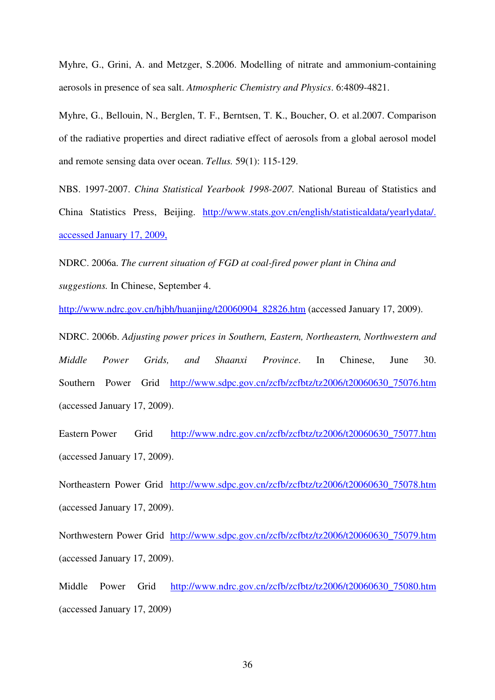Myhre, G., Grini, A. and Metzger, S.2006. Modelling of nitrate and ammonium-containing aerosols in presence of sea salt. *Atmospheric Chemistry and Physics*. 6:4809-4821.

Myhre, G., Bellouin, N., Berglen, T. F., Berntsen, T. K., Boucher, O. et al.2007. Comparison of the radiative properties and direct radiative effect of aerosols from a global aerosol model and remote sensing data over ocean. *Tellus.* 59(1): 115-129.

NBS. 1997-2007. *China Statistical Yearbook 1998-2007.* National Bureau of Statistics and China Statistics Press, Beijing. http://www.stats.gov.cn/english/statisticaldata/yearlydata/. accessed January 17, 2009,

NDRC. 2006a. *The current situation of FGD at coal-fired power plant in China and suggestions.* In Chinese, September 4.

http://www.ndrc.gov.cn/hjbh/huanjing/t20060904\_82826.htm (accessed January 17, 2009).

NDRC. 2006b. *Adjusting power prices in Southern, Eastern, Northeastern, Northwestern and Middle Power Grids, and Shaanxi Province*. In Chinese, June 30. Southern Power Grid http://www.sdpc.gov.cn/zcfb/zcfbtz/tz2006/t20060630\_75076.htm (accessed January 17, 2009).

Eastern Power Grid http://www.ndrc.gov.cn/zcfb/zcfbtz/tz2006/t20060630\_75077.htm (accessed January 17, 2009).

Northeastern Power Grid http://www.sdpc.gov.cn/zcfb/zcfbtz/tz2006/t20060630\_75078.htm (accessed January 17, 2009).

Northwestern Power Grid http://www.sdpc.gov.cn/zcfb/zcfbtz/tz2006/t20060630\_75079.htm (accessed January 17, 2009).

Middle Power Grid http://www.ndrc.gov.cn/zcfb/zcfbtz/tz2006/t20060630\_75080.htm (accessed January 17, 2009)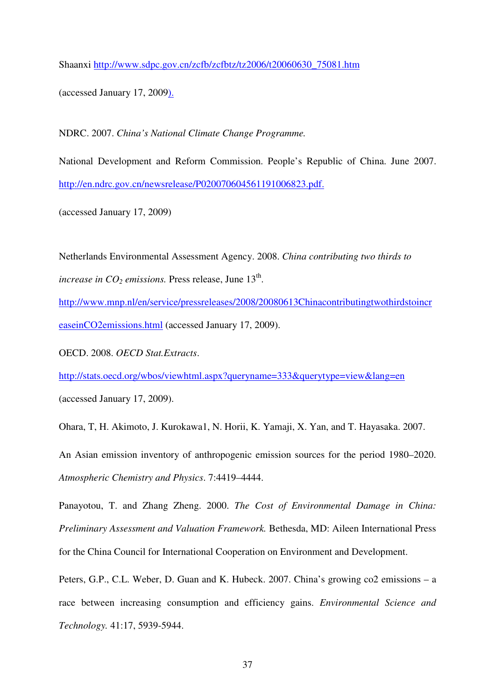Shaanxi http://www.sdpc.gov.cn/zcfb/zcfbtz/tz2006/t20060630\_75081.htm

(accessed January 17, 2009).

NDRC. 2007. *China's National Climate Change Programme.*

National Development and Reform Commission. People's Republic of China. June 2007. http://en.ndrc.gov.cn/newsrelease/P020070604561191006823.pdf.

(accessed January 17, 2009)

Netherlands Environmental Assessment Agency. 2008. *China contributing two thirds to increase in*  $CO_2$  *emissions.* Press release, June  $13<sup>th</sup>$ .

http://www.mnp.nl/en/service/pressreleases/2008/20080613Chinacontributingtwothirdstoincr easeinCO2emissions.html (accessed January 17, 2009).

OECD. 2008. *OECD Stat.Extracts*.

http://stats.oecd.org/wbos/viewhtml.aspx?queryname=333&querytype=view&lang=en

(accessed January 17, 2009).

Ohara, T, H. Akimoto, J. Kurokawa1, N. Horii, K. Yamaji, X. Yan, and T. Hayasaka. 2007.

An Asian emission inventory of anthropogenic emission sources for the period 1980–2020. *Atmospheric Chemistry and Physics*. 7:4419–4444.

Panayotou, T. and Zhang Zheng. 2000. *The Cost of Environmental Damage in China: Preliminary Assessment and Valuation Framework.* Bethesda, MD: Aileen International Press for the China Council for International Cooperation on Environment and Development.

Peters, G.P., C.L. Weber, D. Guan and K. Hubeck. 2007. China's growing co2 emissions – a race between increasing consumption and efficiency gains. *Environmental Science and Technology.* 41:17, 5939-5944.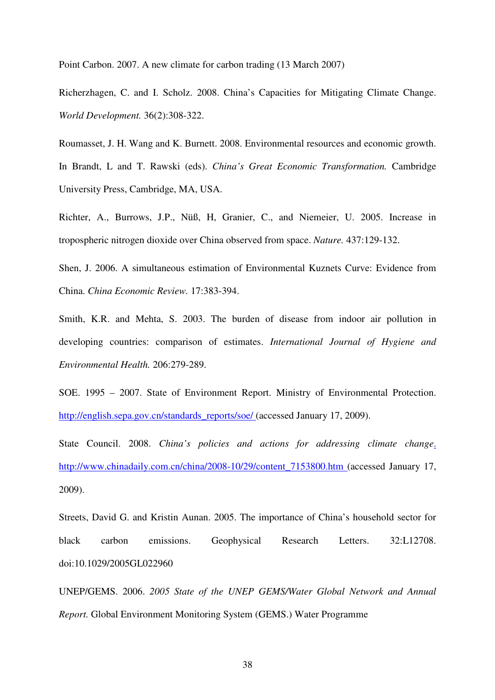Point Carbon. 2007. A new climate for carbon trading (13 March 2007)

Richerzhagen, C. and I. Scholz. 2008. China's Capacities for Mitigating Climate Change. *World Development.* 36(2):308-322.

Roumasset, J. H. Wang and K. Burnett. 2008. Environmental resources and economic growth. In Brandt, L and T. Rawski (eds). *China's Great Economic Transformation.* Cambridge University Press, Cambridge, MA, USA.

Richter, A., Burrows, J.P., Nüß, H, Granier, C., and Niemeier, U. 2005. Increase in tropospheric nitrogen dioxide over China observed from space. *Nature.* 437:129-132.

Shen, J. 2006. A simultaneous estimation of Environmental Kuznets Curve: Evidence from China. *China Economic Review.* 17:383-394.

Smith, K.R. and Mehta, S. 2003. The burden of disease from indoor air pollution in developing countries: comparison of estimates. *International Journal of Hygiene and Environmental Health.* 206:279-289.

SOE. 1995 – 2007. State of Environment Report. Ministry of Environmental Protection. http://english.sepa.gov.cn/standards\_reports/soe/ (accessed January 17, 2009).

State Council. 2008. *China's policies and actions for addressing climate change*. http://www.chinadaily.com.cn/china/2008-10/29/content\_7153800.htm (accessed January 17, 2009).

Streets, David G. and Kristin Aunan. 2005. The importance of China's household sector for black carbon emissions. Geophysical Research Letters. 32:L12708. doi:10.1029/2005GL022960

UNEP/GEMS. 2006. *2005 State of the UNEP GEMS/Water Global Network and Annual Report.* Global Environment Monitoring System (GEMS.) Water Programme

38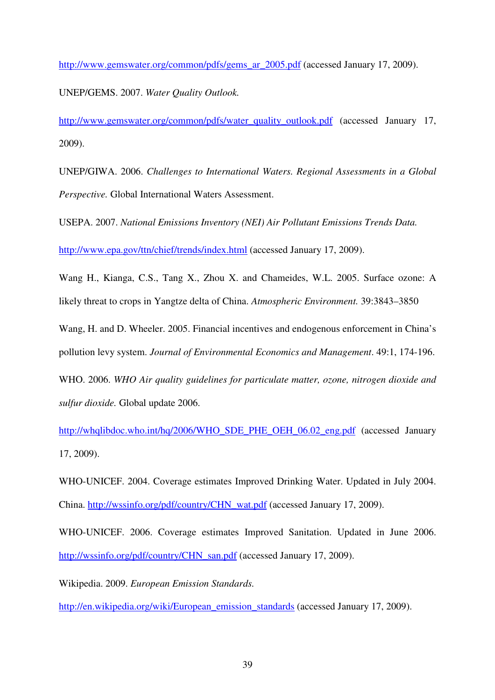http://www.gemswater.org/common/pdfs/gems\_ar\_2005.pdf (accessed January 17, 2009).

UNEP/GEMS. 2007. *Water Quality Outlook.*

http://www.gemswater.org/common/pdfs/water\_quality\_outlook.pdf (accessed January 17, 2009).

UNEP/GIWA. 2006. *Challenges to International Waters. Regional Assessments in a Global Perspective.* Global International Waters Assessment.

USEPA. 2007. *National Emissions Inventory (NEI) Air Pollutant Emissions Trends Data.*

http://www.epa.gov/ttn/chief/trends/index.html (accessed January 17, 2009).

Wang H., Kianga, C.S., Tang X., Zhou X. and Chameides, W.L. 2005. Surface ozone: A likely threat to crops in Yangtze delta of China. *Atmospheric Environment.* 39:3843–3850

Wang, H. and D. Wheeler. 2005. Financial incentives and endogenous enforcement in China's pollution levy system. *Journal of Environmental Economics and Management*. 49:1, 174-196.

WHO. 2006. *WHO Air quality guidelines for particulate matter, ozone, nitrogen dioxide and sulfur dioxide.* Global update 2006.

http://whqlibdoc.who.int/hq/2006/WHO\_SDE\_PHE\_OEH\_06.02\_eng.pdf (accessed January 17, 2009).

WHO-UNICEF. 2004. Coverage estimates Improved Drinking Water. Updated in July 2004. China. http://wssinfo.org/pdf/country/CHN\_wat.pdf (accessed January 17, 2009).

WHO-UNICEF. 2006. Coverage estimates Improved Sanitation. Updated in June 2006. http://wssinfo.org/pdf/country/CHN\_san.pdf (accessed January 17, 2009).

Wikipedia. 2009. *European Emission Standards.* 

http://en.wikipedia.org/wiki/European\_emission\_standards (accessed January 17, 2009).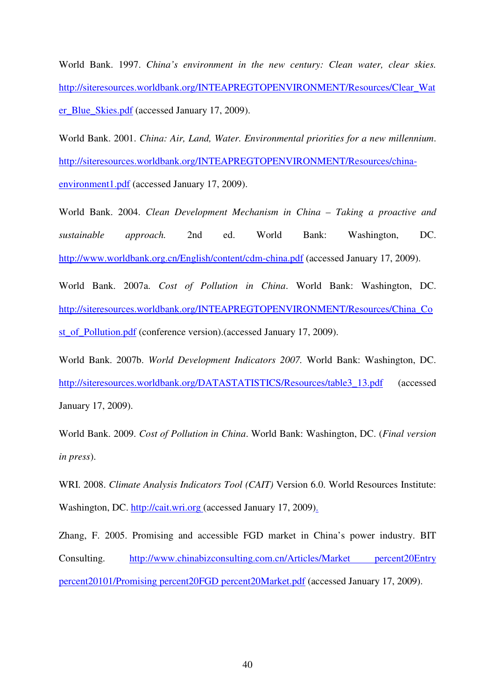World Bank. 1997. *China's environment in the new century: Clean water, clear skies.* http://siteresources.worldbank.org/INTEAPREGTOPENVIRONMENT/Resources/Clear\_Wat er\_Blue\_Skies.pdf (accessed January 17, 2009).

World Bank. 2001. *China: Air, Land, Water. Environmental priorities for a new millennium*. http://siteresources.worldbank.org/INTEAPREGTOPENVIRONMENT/Resources/chinaenvironment1.pdf (accessed January 17, 2009).

World Bank. 2004. *Clean Development Mechanism in China – Taking a proactive and sustainable approach.* 2nd ed. World Bank: Washington, DC. http://www.worldbank.org.cn/English/content/cdm-china.pdf (accessed January 17, 2009).

World Bank. 2007a. *Cost of Pollution in China*. World Bank: Washington, DC. http://siteresources.worldbank.org/INTEAPREGTOPENVIRONMENT/Resources/China\_Co st\_of\_Pollution.pdf (conference version).(accessed January 17, 2009).

World Bank. 2007b. *World Development Indicators 2007.* World Bank: Washington, DC. http://siteresources.worldbank.org/DATASTATISTICS/Resources/table3\_13.pdf (accessed January 17, 2009).

World Bank. 2009. *Cost of Pollution in China*. World Bank: Washington, DC. (*Final version in press*).

WRI. 2008. *Climate Analysis Indicators Tool (CAIT)* Version 6.0. World Resources Institute: Washington, DC. http://cait.wri.org (accessed January 17, 2009).

Zhang, F. 2005. Promising and accessible FGD market in China's power industry. BIT Consulting. http://www.chinabizconsulting.com.cn/Articles/Market percent20Entry percent20101/Promising percent20FGD percent20Market.pdf (accessed January 17, 2009).